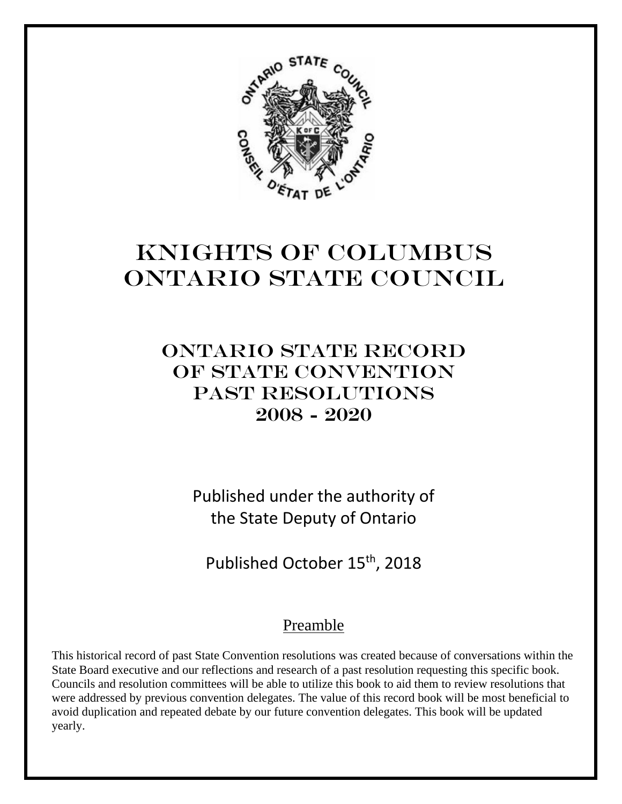

# Knights of Columbus Ontario State Council

## Ontario state record OF STATE CONVENTION PAST RESOLUTIONS 2008 - 2020

Published under the authority of the State Deputy of Ontario

Published October 15<sup>th</sup>, 2018

## Preamble

This historical record of past State Convention resolutions was created because of conversations within the State Board executive and our reflections and research of a past resolution requesting this specific book. Councils and resolution committees will be able to utilize this book to aid them to review resolutions that were addressed by previous convention delegates. The value of this record book will be most beneficial to avoid duplication and repeated debate by our future convention delegates. This book will be updated yearly.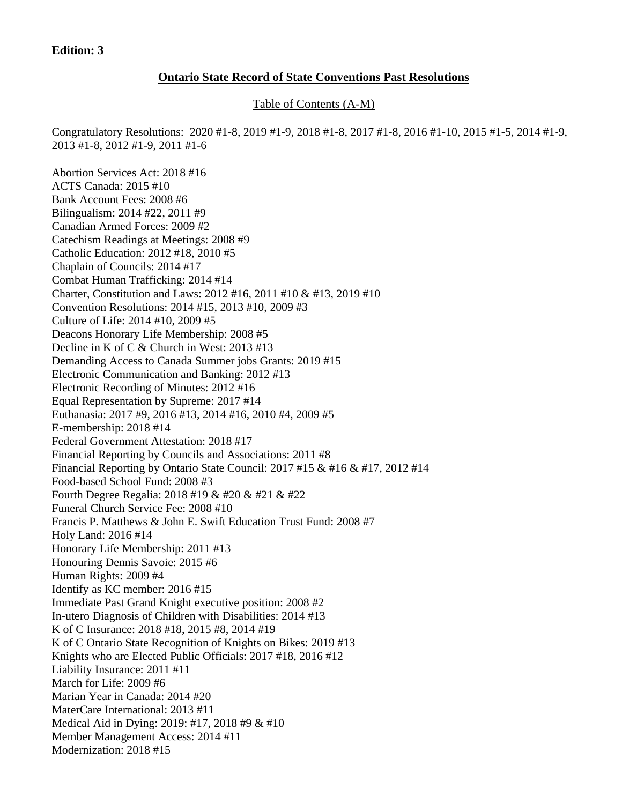#### **Edition: 3**

#### **Ontario State Record of State Conventions Past Resolutions**

Table of Contents (A-M)

Congratulatory Resolutions: 2020 #1-8, 2019 #1-9, 2018 #1-8, 2017 #1-8, 2016 #1-10, 2015 #1-5, 2014 #1-9, 2013 #1-8, 2012 #1-9, 2011 #1-6

Abortion Services Act: 2018 #16 ACTS Canada: 2015 #10 Bank Account Fees: 2008 #6 Bilingualism: 2014 #22, 2011 #9 Canadian Armed Forces: 2009 #2 Catechism Readings at Meetings: 2008 #9 Catholic Education: 2012 #18, 2010 #5 Chaplain of Councils: 2014 #17 Combat Human Trafficking: 2014 #14 Charter, Constitution and Laws: 2012 #16, 2011 #10 & #13, 2019 #10 Convention Resolutions: 2014 #15, 2013 #10, 2009 #3 Culture of Life: 2014 #10, 2009 #5 Deacons Honorary Life Membership: 2008 #5 Decline in K of C & Church in West: 2013 #13 Demanding Access to Canada Summer jobs Grants: 2019 #15 Electronic Communication and Banking: 2012 #13 Electronic Recording of Minutes: 2012 #16 Equal Representation by Supreme: 2017 #14 Euthanasia: 2017 #9, 2016 #13, 2014 #16, 2010 #4, 2009 #5 E-membership: 2018 #14 Federal Government Attestation: 2018 #17 Financial Reporting by Councils and Associations: 2011 #8 Financial Reporting by Ontario State Council: 2017 #15 & #16 & #17, 2012 #14 Food-based School Fund: 2008 #3 Fourth Degree Regalia: 2018 #19 & #20 & #21 & #22 Funeral Church Service Fee: 2008 #10 Francis P. Matthews & John E. Swift Education Trust Fund: 2008 #7 Holy Land: 2016 #14 Honorary Life Membership: 2011 #13 Honouring Dennis Savoie: 2015 #6 Human Rights: 2009 #4 Identify as KC member: 2016 #15 Immediate Past Grand Knight executive position: 2008 #2 In-utero Diagnosis of Children with Disabilities: 2014 #13 K of C Insurance: 2018 #18, 2015 #8, 2014 #19 K of C Ontario State Recognition of Knights on Bikes: 2019 #13 Knights who are Elected Public Officials: 2017 #18, 2016 #12 Liability Insurance: 2011 #11 March for Life: 2009 #6 Marian Year in Canada: 2014 #20 MaterCare International: 2013 #11 Medical Aid in Dying: 2019: #17, 2018 #9 & #10 Member Management Access: 2014 #11 Modernization: 2018 #15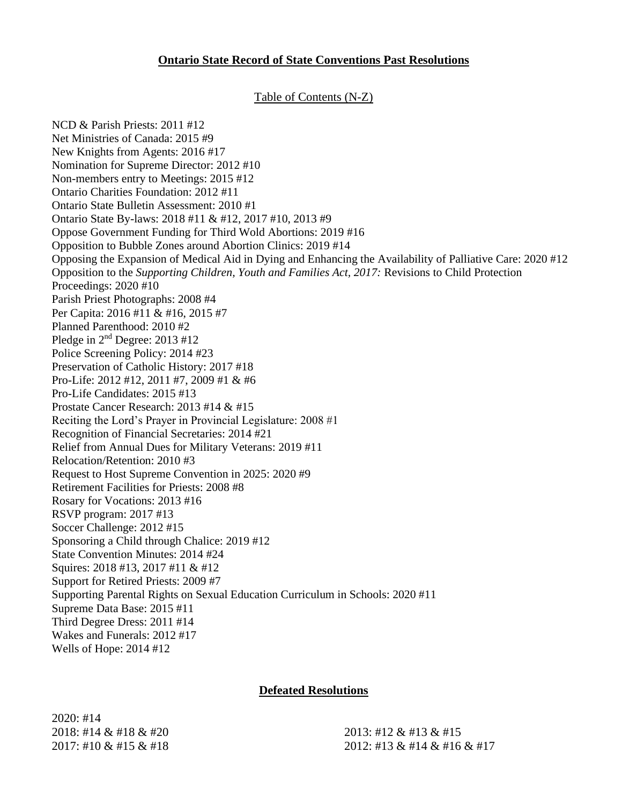#### **Ontario State Record of State Conventions Past Resolutions**

#### Table of Contents (N-Z)

NCD & Parish Priests: 2011 #12 Net Ministries of Canada: 2015 #9 New Knights from Agents: 2016 #17 Nomination for Supreme Director: 2012 #10 Non-members entry to Meetings: 2015 #12 Ontario Charities Foundation: 2012 #11 Ontario State Bulletin Assessment: 2010 #1 Ontario State By-laws: 2018 #11 & #12, 2017 #10, 2013 #9 Oppose Government Funding for Third Wold Abortions: 2019 #16 Opposition to Bubble Zones around Abortion Clinics: 2019 #14 Opposing the Expansion of Medical Aid in Dying and Enhancing the Availability of Palliative Care: 2020 #12 Opposition to the *Supporting Children, Youth and Families Act, 2017:* Revisions to Child Protection Proceedings: 2020 #10 Parish Priest Photographs: 2008 #4 Per Capita: 2016 #11 & #16, 2015 #7 Planned Parenthood: 2010 #2 Pledge in  $2<sup>nd</sup>$  Degree: 2013 #12 Police Screening Policy: 2014 #23 Preservation of Catholic History: 2017 #18 Pro-Life: 2012 #12, 2011 #7, 2009 #1 & #6 Pro-Life Candidates: 2015 #13 Prostate Cancer Research: 2013 #14 & #15 Reciting the Lord's Prayer in Provincial Legislature: 2008 #1 Recognition of Financial Secretaries: 2014 #21 Relief from Annual Dues for Military Veterans: 2019 #11 Relocation/Retention: 2010 #3 Request to Host Supreme Convention in 2025: 2020 #9 Retirement Facilities for Priests: 2008 #8 Rosary for Vocations: 2013 #16 RSVP program: 2017 #13 Soccer Challenge: 2012 #15 Sponsoring a Child through Chalice: 2019 #12 State Convention Minutes: 2014 #24 Squires: 2018 #13, 2017 #11 & #12 Support for Retired Priests: 2009 #7 Supporting Parental Rights on Sexual Education Curriculum in Schools: 2020 #11 Supreme Data Base: 2015 #11 Third Degree Dress: 2011 #14 Wakes and Funerals: 2012 #17 Wells of Hope: 2014 #12

#### **Defeated Resolutions**

2020: #14 2018: #14 & #18 & #20 2013: #12 & #13 & #15

2017: #10 & #15 & #18 2012: #13 & #14 & #16 & #17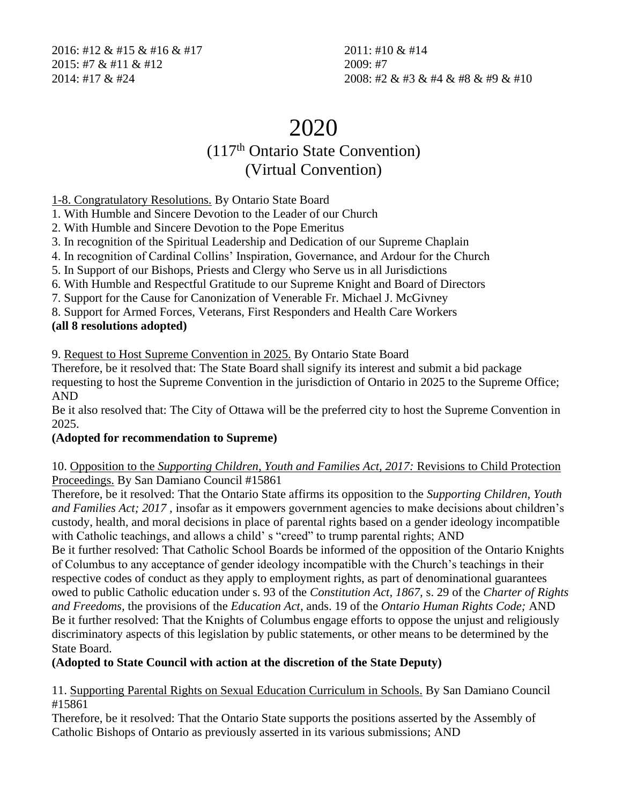2016: #12 & #15 & #16 & #17 2011: #10 & #14 2015: #7 & #11 & #12 2009: #7

2014: #17 & #24 2008: #2 & #3 & #4 & #8 & #9 & #10

## 2020

## (117th Ontario State Convention) (Virtual Convention)

1-8. Congratulatory Resolutions. By Ontario State Board

1. With Humble and Sincere Devotion to the Leader of our Church

2. With Humble and Sincere Devotion to the Pope Emeritus

3. In recognition of the Spiritual Leadership and Dedication of our Supreme Chaplain

4. In recognition of Cardinal Collins' Inspiration, Governance, and Ardour for the Church

5. In Support of our Bishops, Priests and Clergy who Serve us in all Jurisdictions

6. With Humble and Respectful Gratitude to our Supreme Knight and Board of Directors

7. Support for the Cause for Canonization of Venerable Fr. Michael J. McGivney

8. Support for Armed Forces, Veterans, First Responders and Health Care Workers

#### **(all 8 resolutions adopted)**

9. Request to Host Supreme Convention in 2025. By Ontario State Board

Therefore, be it resolved that: The State Board shall signify its interest and submit a bid package requesting to host the Supreme Convention in the jurisdiction of Ontario in 2025 to the Supreme Office; AND

Be it also resolved that: The City of Ottawa will be the preferred city to host the Supreme Convention in 2025.

#### **(Adopted for recommendation to Supreme)**

10. Opposition to the *Supporting Children, Youth and Families Act, 2017:* Revisions to Child Protection Proceedings. By San Damiano Council #15861

Therefore, be it resolved: That the Ontario State affirms its opposition to the *Supporting Children, Youth and Families Act; 2017 ,* insofar as it empowers government agencies to make decisions about children's custody, health, and moral decisions in place of parental rights based on a gender ideology incompatible with Catholic teachings, and allows a child' s "creed" to trump parental rights; AND

Be it further resolved: That Catholic School Boards be informed of the opposition of the Ontario Knights of Columbus to any acceptance of gender ideology incompatible with the Church's teachings in their respective codes of conduct as they apply to employment rights, as part of denominational guarantees owed to public Catholic education under s. 93 of the *Constitution Act, 1867,* s. 29 of the *Charter of Rights and Freedoms,* the provisions of the *Education Act,* ands. 19 of the *Ontario Human Rights Code;* AND Be it further resolved: That the Knights of Columbus engage efforts to oppose the unjust and religiously discriminatory aspects of this legislation by public statements, or other means to be determined by the State Board.

**(Adopted to State Council with action at the discretion of the State Deputy)**

11. Supporting Parental Rights on Sexual Education Curriculum in Schools. By San Damiano Council #15861

Therefore, be it resolved: That the Ontario State supports the positions asserted by the Assembly of Catholic Bishops of Ontario as previously asserted in its various submissions; AND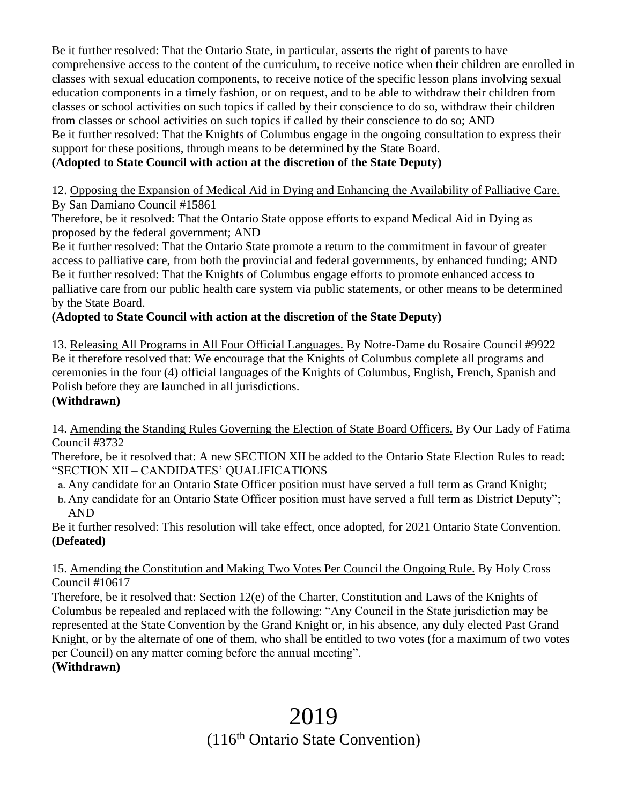Be it further resolved: That the Ontario State, in particular, asserts the right of parents to have comprehensive access to the content of the curriculum, to receive notice when their children are enrolled in classes with sexual education components, to receive notice of the specific lesson plans involving sexual education components in a timely fashion, or on request, and to be able to withdraw their children from classes or school activities on such topics if called by their conscience to do so, withdraw their children from classes or school activities on such topics if called by their conscience to do so; AND Be it further resolved: That the Knights of Columbus engage in the ongoing consultation to express their support for these positions, through means to be determined by the State Board.

## **(Adopted to State Council with action at the discretion of the State Deputy)**

12. Opposing the Expansion of Medical Aid in Dying and Enhancing the Availability of Palliative Care. By San Damiano Council #15861

Therefore, be it resolved: That the Ontario State oppose efforts to expand Medical Aid in Dying as proposed by the federal government; AND

Be it further resolved: That the Ontario State promote a return to the commitment in favour of greater access to palliative care, from both the provincial and federal governments, by enhanced funding; AND Be it further resolved: That the Knights of Columbus engage efforts to promote enhanced access to palliative care from our public health care system via public statements, or other means to be determined by the State Board.

## **(Adopted to State Council with action at the discretion of the State Deputy)**

13. Releasing All Programs in All Four Official Languages. By Notre-Dame du Rosaire Council #9922 Be it therefore resolved that: We encourage that the Knights of Columbus complete all programs and ceremonies in the four (4) official languages of the Knights of Columbus, English, French, Spanish and Polish before they are launched in all jurisdictions.

**(Withdrawn)**

14. Amending the Standing Rules Governing the Election of State Board Officers. By Our Lady of Fatima Council #3732

Therefore, be it resolved that: A new SECTION XII be added to the Ontario State Election Rules to read: "SECTION XII – CANDIDATES' QUALIFICATIONS

- **a.** Any candidate for an Ontario State Officer position must have served a full term as Grand Knight;
- **b.** Any candidate for an Ontario State Officer position must have served a full term as District Deputy"; AND

Be it further resolved: This resolution will take effect, once adopted, for 2021 Ontario State Convention. **(Defeated)**

15. Amending the Constitution and Making Two Votes Per Council the Ongoing Rule. By Holy Cross Council #10617

Therefore, be it resolved that: Section 12(e) of the Charter, Constitution and Laws of the Knights of Columbus be repealed and replaced with the following: "Any Council in the State jurisdiction may be represented at the State Convention by the Grand Knight or, in his absence, any duly elected Past Grand Knight, or by the alternate of one of them, who shall be entitled to two votes (for a maximum of two votes per Council) on any matter coming before the annual meeting".

#### **(Withdrawn)**

## 2019 (116th Ontario State Convention)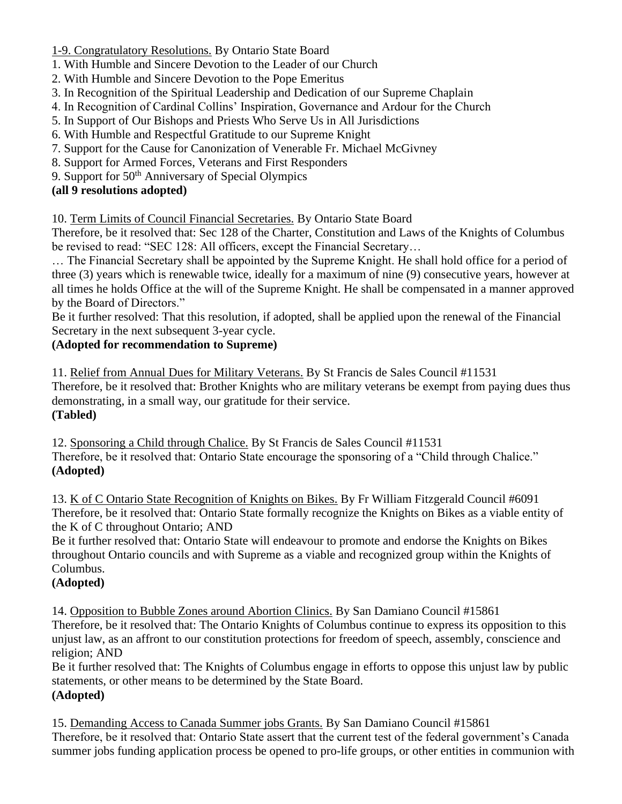1-9. Congratulatory Resolutions. By Ontario State Board

- 1. With Humble and Sincere Devotion to the Leader of our Church
- 2. With Humble and Sincere Devotion to the Pope Emeritus
- 3. In Recognition of the Spiritual Leadership and Dedication of our Supreme Chaplain
- 4. In Recognition of Cardinal Collins' Inspiration, Governance and Ardour for the Church
- 5. In Support of Our Bishops and Priests Who Serve Us in All Jurisdictions
- 6. With Humble and Respectful Gratitude to our Supreme Knight
- 7. Support for the Cause for Canonization of Venerable Fr. Michael McGivney
- 8. Support for Armed Forces, Veterans and First Responders
- 9. Support for 50<sup>th</sup> Anniversary of Special Olympics

#### **(all 9 resolutions adopted)**

10. Term Limits of Council Financial Secretaries. By Ontario State Board

Therefore, be it resolved that: Sec 128 of the Charter, Constitution and Laws of the Knights of Columbus be revised to read: "SEC 128: All officers, except the Financial Secretary...

… The Financial Secretary shall be appointed by the Supreme Knight. He shall hold office for a period of three (3) years which is renewable twice, ideally for a maximum of nine (9) consecutive years, however at all times he holds Office at the will of the Supreme Knight. He shall be compensated in a manner approved by the Board of Directors."

Be it further resolved: That this resolution, if adopted, shall be applied upon the renewal of the Financial Secretary in the next subsequent 3-year cycle.

#### **(Adopted for recommendation to Supreme)**

11. Relief from Annual Dues for Military Veterans. By St Francis de Sales Council #11531 Therefore, be it resolved that: Brother Knights who are military veterans be exempt from paying dues thus demonstrating, in a small way, our gratitude for their service. **(Tabled)**

12. Sponsoring a Child through Chalice. By St Francis de Sales Council #11531 Therefore, be it resolved that: Ontario State encourage the sponsoring of a "Child through Chalice." **(Adopted)**

13. K of C Ontario State Recognition of Knights on Bikes. By Fr William Fitzgerald Council #6091 Therefore, be it resolved that: Ontario State formally recognize the Knights on Bikes as a viable entity of the K of C throughout Ontario; AND

Be it further resolved that: Ontario State will endeavour to promote and endorse the Knights on Bikes throughout Ontario councils and with Supreme as a viable and recognized group within the Knights of Columbus.

## **(Adopted)**

14. Opposition to Bubble Zones around Abortion Clinics. By San Damiano Council #15861 Therefore, be it resolved that: The Ontario Knights of Columbus continue to express its opposition to this unjust law, as an affront to our constitution protections for freedom of speech, assembly, conscience and

## religion; AND

Be it further resolved that: The Knights of Columbus engage in efforts to oppose this unjust law by public statements, or other means to be determined by the State Board. **(Adopted)**

15. Demanding Access to Canada Summer jobs Grants. By San Damiano Council #15861 Therefore, be it resolved that: Ontario State assert that the current test of the federal government's Canada summer jobs funding application process be opened to pro-life groups, or other entities in communion with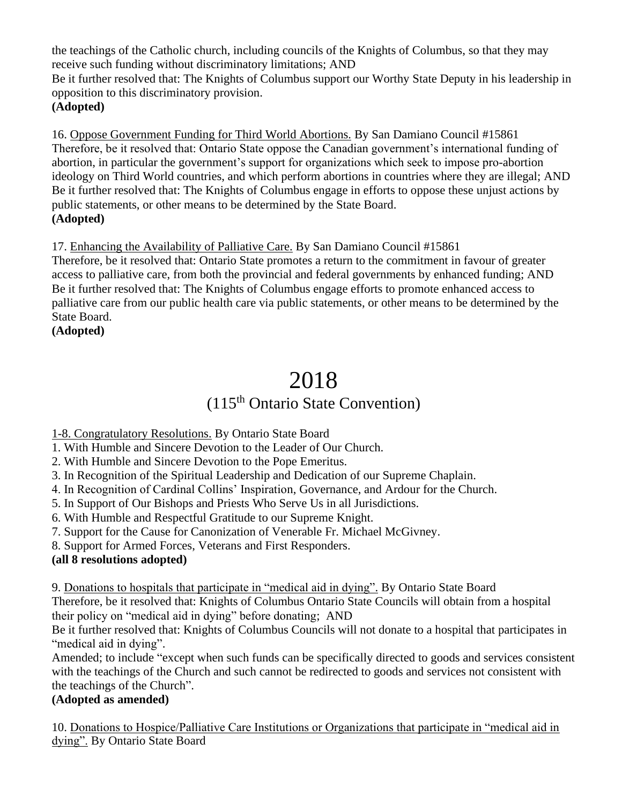the teachings of the Catholic church, including councils of the Knights of Columbus, so that they may receive such funding without discriminatory limitations; AND Be it further resolved that: The Knights of Columbus support our Worthy State Deputy in his leadership in opposition to this discriminatory provision. **(Adopted)**

16. Oppose Government Funding for Third World Abortions. By San Damiano Council #15861 Therefore, be it resolved that: Ontario State oppose the Canadian government's international funding of abortion, in particular the government's support for organizations which seek to impose pro-abortion ideology on Third World countries, and which perform abortions in countries where they are illegal; AND Be it further resolved that: The Knights of Columbus engage in efforts to oppose these unjust actions by public statements, or other means to be determined by the State Board. **(Adopted)**

## 17. Enhancing the Availability of Palliative Care. By San Damiano Council #15861

Therefore, be it resolved that: Ontario State promotes a return to the commitment in favour of greater access to palliative care, from both the provincial and federal governments by enhanced funding; AND Be it further resolved that: The Knights of Columbus engage efforts to promote enhanced access to palliative care from our public health care via public statements, or other means to be determined by the State Board.

**(Adopted)**

# 2018

## (115th Ontario State Convention)

1-8. Congratulatory Resolutions. By Ontario State Board

1. With Humble and Sincere Devotion to the Leader of Our Church.

2. With Humble and Sincere Devotion to the Pope Emeritus.

3. In Recognition of the Spiritual Leadership and Dedication of our Supreme Chaplain.

4. In Recognition of Cardinal Collins' Inspiration, Governance, and Ardour for the Church.

5. In Support of Our Bishops and Priests Who Serve Us in all Jurisdictions.

6. With Humble and Respectful Gratitude to our Supreme Knight.

7. Support for the Cause for Canonization of Venerable Fr. Michael McGivney.

8. Support for Armed Forces, Veterans and First Responders.

## **(all 8 resolutions adopted)**

9. Donations to hospitals that participate in "medical aid in dying". By Ontario State Board Therefore, be it resolved that: Knights of Columbus Ontario State Councils will obtain from a hospital their policy on "medical aid in dying" before donating; AND

Be it further resolved that: Knights of Columbus Councils will not donate to a hospital that participates in "medical aid in dying".

Amended; to include "except when such funds can be specifically directed to goods and services consistent with the teachings of the Church and such cannot be redirected to goods and services not consistent with the teachings of the Church".

## **(Adopted as amended)**

10. Donations to Hospice/Palliative Care Institutions or Organizations that participate in "medical aid in dying". By Ontario State Board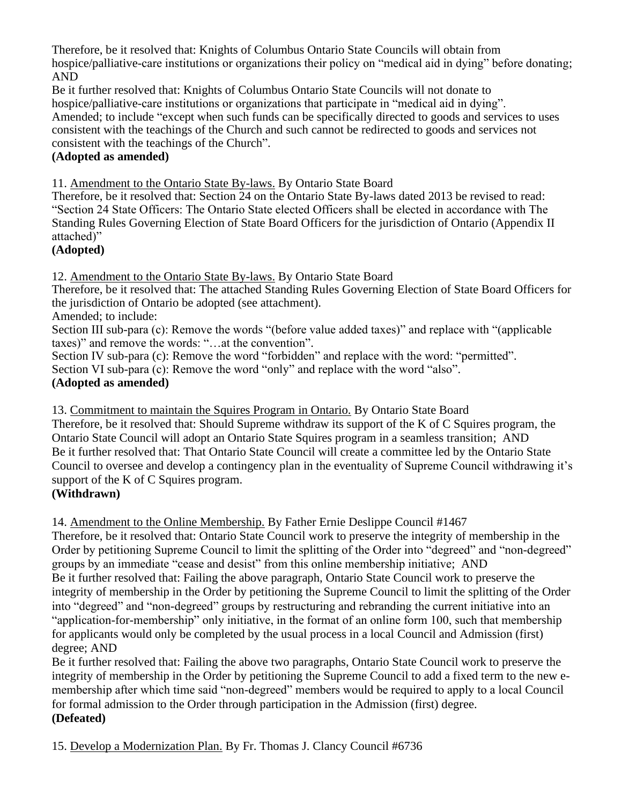Therefore, be it resolved that: Knights of Columbus Ontario State Councils will obtain from hospice/palliative-care institutions or organizations their policy on "medical aid in dying" before donating; AND

Be it further resolved that: Knights of Columbus Ontario State Councils will not donate to hospice/palliative-care institutions or organizations that participate in "medical aid in dying". Amended; to include "except when such funds can be specifically directed to goods and services to uses consistent with the teachings of the Church and such cannot be redirected to goods and services not consistent with the teachings of the Church".

#### **(Adopted as amended)**

11. Amendment to the Ontario State By-laws. By Ontario State Board

Therefore, be it resolved that: Section 24 on the Ontario State By-laws dated 2013 be revised to read: "Section 24 State Officers: The Ontario State elected Officers shall be elected in accordance with The Standing Rules Governing Election of State Board Officers for the jurisdiction of Ontario (Appendix II attached)"

#### **(Adopted)**

12. Amendment to the Ontario State By-laws. By Ontario State Board

Therefore, be it resolved that: The attached Standing Rules Governing Election of State Board Officers for the jurisdiction of Ontario be adopted (see attachment).

Amended; to include:

Section III sub-para (c): Remove the words "(before value added taxes)" and replace with "(applicable taxes)" and remove the words: "…at the convention".

Section IV sub-para (c): Remove the word "forbidden" and replace with the word: "permitted". Section VI sub-para (c): Remove the word "only" and replace with the word "also".

#### **(Adopted as amended)**

13. Commitment to maintain the Squires Program in Ontario. By Ontario State Board Therefore, be it resolved that: Should Supreme withdraw its support of the K of C Squires program, the Ontario State Council will adopt an Ontario State Squires program in a seamless transition; AND Be it further resolved that: That Ontario State Council will create a committee led by the Ontario State Council to oversee and develop a contingency plan in the eventuality of Supreme Council withdrawing it's support of the K of C Squires program.

#### **(Withdrawn)**

14. Amendment to the Online Membership. By Father Ernie Deslippe Council #1467

Therefore, be it resolved that: Ontario State Council work to preserve the integrity of membership in the Order by petitioning Supreme Council to limit the splitting of the Order into "degreed" and "non-degreed" groups by an immediate "cease and desist" from this online membership initiative; AND Be it further resolved that: Failing the above paragraph, Ontario State Council work to preserve the integrity of membership in the Order by petitioning the Supreme Council to limit the splitting of the Order into "degreed" and "non-degreed" groups by restructuring and rebranding the current initiative into an "application-for-membership" only initiative, in the format of an online form 100, such that membership for applicants would only be completed by the usual process in a local Council and Admission (first) degree; AND

Be it further resolved that: Failing the above two paragraphs, Ontario State Council work to preserve the integrity of membership in the Order by petitioning the Supreme Council to add a fixed term to the new emembership after which time said "non-degreed" members would be required to apply to a local Council for formal admission to the Order through participation in the Admission (first) degree. **(Defeated)**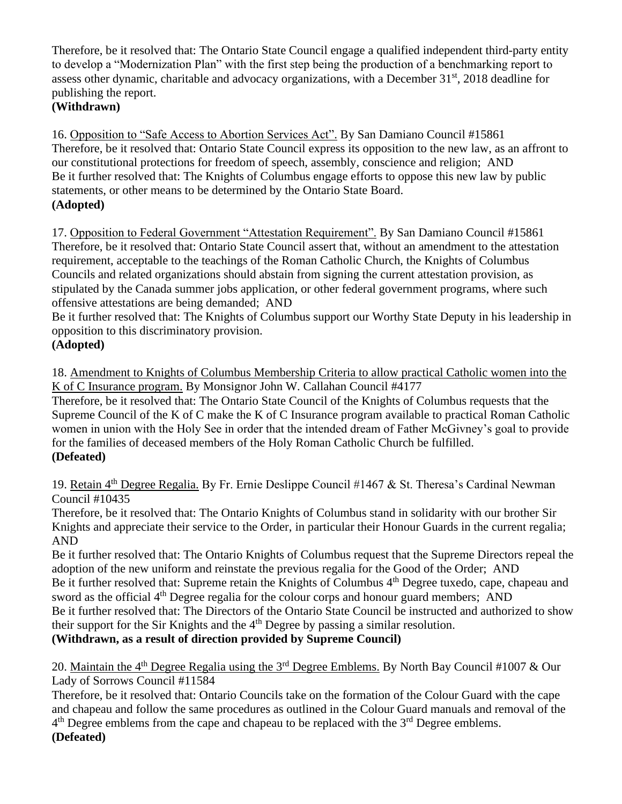Therefore, be it resolved that: The Ontario State Council engage a qualified independent third-party entity to develop a "Modernization Plan" with the first step being the production of a benchmarking report to assess other dynamic, charitable and advocacy organizations, with a December 31<sup>st</sup>, 2018 deadline for publishing the report.

## **(Withdrawn)**

16. Opposition to "Safe Access to Abortion Services Act". By San Damiano Council #15861 Therefore, be it resolved that: Ontario State Council express its opposition to the new law, as an affront to our constitutional protections for freedom of speech, assembly, conscience and religion; AND Be it further resolved that: The Knights of Columbus engage efforts to oppose this new law by public statements, or other means to be determined by the Ontario State Board. **(Adopted)**

17. Opposition to Federal Government "Attestation Requirement". By San Damiano Council #15861 Therefore, be it resolved that: Ontario State Council assert that, without an amendment to the attestation requirement, acceptable to the teachings of the Roman Catholic Church, the Knights of Columbus Councils and related organizations should abstain from signing the current attestation provision, as stipulated by the Canada summer jobs application, or other federal government programs, where such offensive attestations are being demanded; AND

Be it further resolved that: The Knights of Columbus support our Worthy State Deputy in his leadership in opposition to this discriminatory provision.

#### **(Adopted)**

18. Amendment to Knights of Columbus Membership Criteria to allow practical Catholic women into the K of C Insurance program. By Monsignor John W. Callahan Council #4177

Therefore, be it resolved that: The Ontario State Council of the Knights of Columbus requests that the Supreme Council of the K of C make the K of C Insurance program available to practical Roman Catholic women in union with the Holy See in order that the intended dream of Father McGivney's goal to provide for the families of deceased members of the Holy Roman Catholic Church be fulfilled. **(Defeated)**

19. Retain 4<sup>th</sup> Degree Regalia. By Fr. Ernie Deslippe Council #1467 & St. Theresa's Cardinal Newman Council #10435

Therefore, be it resolved that: The Ontario Knights of Columbus stand in solidarity with our brother Sir Knights and appreciate their service to the Order, in particular their Honour Guards in the current regalia; AND

Be it further resolved that: The Ontario Knights of Columbus request that the Supreme Directors repeal the adoption of the new uniform and reinstate the previous regalia for the Good of the Order; AND Be it further resolved that: Supreme retain the Knights of Columbus 4<sup>th</sup> Degree tuxedo, cape, chapeau and sword as the official  $4<sup>th</sup>$  Degree regalia for the colour corps and honour guard members; AND Be it further resolved that: The Directors of the Ontario State Council be instructed and authorized to show their support for the Sir Knights and the  $4<sup>th</sup>$  Degree by passing a similar resolution. **(Withdrawn, as a result of direction provided by Supreme Council)**

20. Maintain the 4<sup>th</sup> Degree Regalia using the 3<sup>rd</sup> Degree Emblems. By North Bay Council #1007 & Our Lady of Sorrows Council #11584

Therefore, be it resolved that: Ontario Councils take on the formation of the Colour Guard with the cape and chapeau and follow the same procedures as outlined in the Colour Guard manuals and removal of the  $4<sup>th</sup>$  Degree emblems from the cape and chapeau to be replaced with the  $3<sup>rd</sup>$  Degree emblems. **(Defeated)**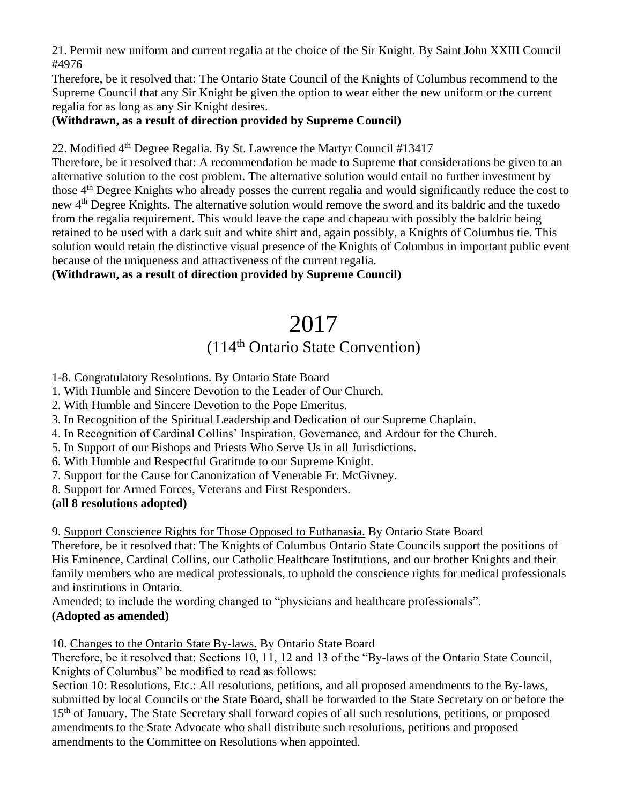21. Permit new uniform and current regalia at the choice of the Sir Knight. By Saint John XXIII Council #4976

Therefore, be it resolved that: The Ontario State Council of the Knights of Columbus recommend to the Supreme Council that any Sir Knight be given the option to wear either the new uniform or the current regalia for as long as any Sir Knight desires.

## **(Withdrawn, as a result of direction provided by Supreme Council)**

## 22. Modified  $4<sup>th</sup>$  Degree Regalia. By St. Lawrence the Martyr Council #13417

Therefore, be it resolved that: A recommendation be made to Supreme that considerations be given to an alternative solution to the cost problem. The alternative solution would entail no further investment by those 4<sup>th</sup> Degree Knights who already posses the current regalia and would significantly reduce the cost to new 4<sup>th</sup> Degree Knights. The alternative solution would remove the sword and its baldric and the tuxedo from the regalia requirement. This would leave the cape and chapeau with possibly the baldric being retained to be used with a dark suit and white shirt and, again possibly, a Knights of Columbus tie. This solution would retain the distinctive visual presence of the Knights of Columbus in important public event because of the uniqueness and attractiveness of the current regalia.

#### **(Withdrawn, as a result of direction provided by Supreme Council)**

## 2017 (114th Ontario State Convention)

1-8. Congratulatory Resolutions. By Ontario State Board

- 1. With Humble and Sincere Devotion to the Leader of Our Church.
- 2. With Humble and Sincere Devotion to the Pope Emeritus.
- 3. In Recognition of the Spiritual Leadership and Dedication of our Supreme Chaplain.
- 4. In Recognition of Cardinal Collins' Inspiration, Governance, and Ardour for the Church.
- 5. In Support of our Bishops and Priests Who Serve Us in all Jurisdictions.
- 6. With Humble and Respectful Gratitude to our Supreme Knight.
- 7. Support for the Cause for Canonization of Venerable Fr. McGivney.
- 8. Support for Armed Forces, Veterans and First Responders.

## **(all 8 resolutions adopted)**

9. Support Conscience Rights for Those Opposed to Euthanasia. By Ontario State Board

Therefore, be it resolved that: The Knights of Columbus Ontario State Councils support the positions of His Eminence, Cardinal Collins, our Catholic Healthcare Institutions, and our brother Knights and their family members who are medical professionals, to uphold the conscience rights for medical professionals and institutions in Ontario.

Amended; to include the wording changed to "physicians and healthcare professionals". **(Adopted as amended)**

10. Changes to the Ontario State By-laws. By Ontario State Board

Therefore, be it resolved that: Sections 10, 11, 12 and 13 of the "By-laws of the Ontario State Council, Knights of Columbus" be modified to read as follows:

Section 10: Resolutions, Etc.: All resolutions, petitions, and all proposed amendments to the By-laws, submitted by local Councils or the State Board, shall be forwarded to the State Secretary on or before the 15<sup>th</sup> of January. The State Secretary shall forward copies of all such resolutions, petitions, or proposed amendments to the State Advocate who shall distribute such resolutions, petitions and proposed amendments to the Committee on Resolutions when appointed.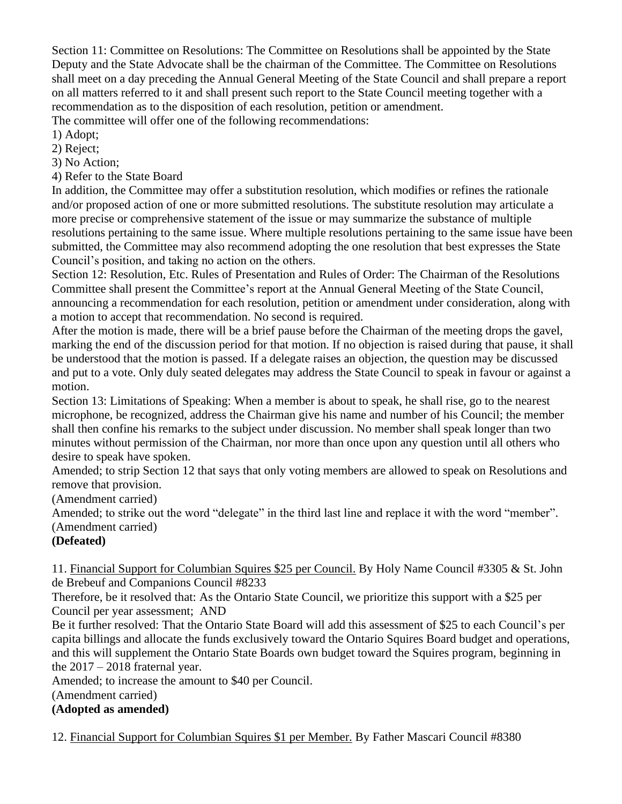Section 11: Committee on Resolutions: The Committee on Resolutions shall be appointed by the State Deputy and the State Advocate shall be the chairman of the Committee. The Committee on Resolutions shall meet on a day preceding the Annual General Meeting of the State Council and shall prepare a report on all matters referred to it and shall present such report to the State Council meeting together with a recommendation as to the disposition of each resolution, petition or amendment.

The committee will offer one of the following recommendations:

1) Adopt;

2) Reject;

3) No Action;

4) Refer to the State Board

In addition, the Committee may offer a substitution resolution, which modifies or refines the rationale and/or proposed action of one or more submitted resolutions. The substitute resolution may articulate a more precise or comprehensive statement of the issue or may summarize the substance of multiple resolutions pertaining to the same issue. Where multiple resolutions pertaining to the same issue have been submitted, the Committee may also recommend adopting the one resolution that best expresses the State Council's position, and taking no action on the others.

Section 12: Resolution, Etc. Rules of Presentation and Rules of Order: The Chairman of the Resolutions Committee shall present the Committee's report at the Annual General Meeting of the State Council, announcing a recommendation for each resolution, petition or amendment under consideration, along with a motion to accept that recommendation. No second is required.

After the motion is made, there will be a brief pause before the Chairman of the meeting drops the gavel, marking the end of the discussion period for that motion. If no objection is raised during that pause, it shall be understood that the motion is passed. If a delegate raises an objection, the question may be discussed and put to a vote. Only duly seated delegates may address the State Council to speak in favour or against a motion.

Section 13: Limitations of Speaking: When a member is about to speak, he shall rise, go to the nearest microphone, be recognized, address the Chairman give his name and number of his Council; the member shall then confine his remarks to the subject under discussion. No member shall speak longer than two minutes without permission of the Chairman, nor more than once upon any question until all others who desire to speak have spoken.

Amended; to strip Section 12 that says that only voting members are allowed to speak on Resolutions and remove that provision.

(Amendment carried)

Amended; to strike out the word "delegate" in the third last line and replace it with the word "member". (Amendment carried)

## **(Defeated)**

11. Financial Support for Columbian Squires \$25 per Council. By Holy Name Council #3305 & St. John de Brebeuf and Companions Council #8233

Therefore, be it resolved that: As the Ontario State Council, we prioritize this support with a \$25 per Council per year assessment; AND

Be it further resolved: That the Ontario State Board will add this assessment of \$25 to each Council's per capita billings and allocate the funds exclusively toward the Ontario Squires Board budget and operations, and this will supplement the Ontario State Boards own budget toward the Squires program, beginning in the  $2017 - 2018$  fraternal year.

Amended; to increase the amount to \$40 per Council.

(Amendment carried)

## **(Adopted as amended)**

12. Financial Support for Columbian Squires \$1 per Member. By Father Mascari Council #8380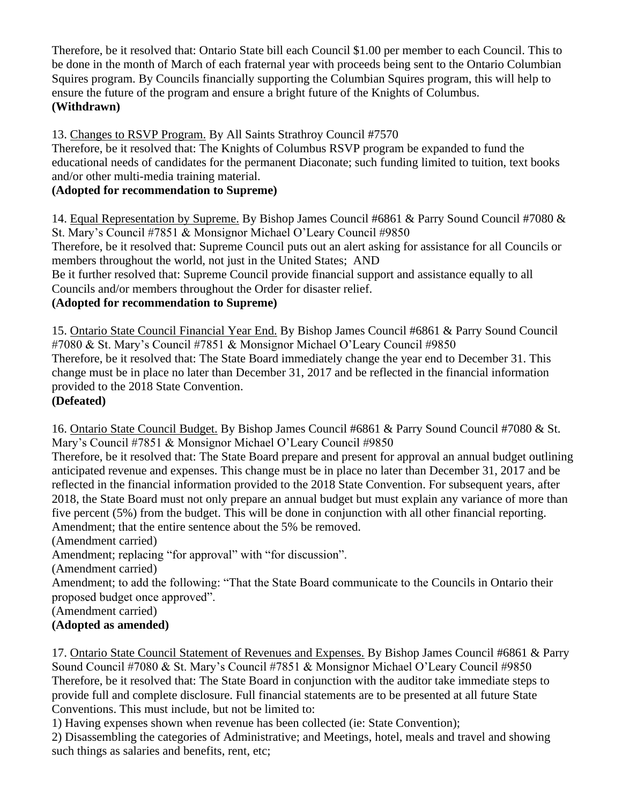Therefore, be it resolved that: Ontario State bill each Council \$1.00 per member to each Council. This to be done in the month of March of each fraternal year with proceeds being sent to the Ontario Columbian Squires program. By Councils financially supporting the Columbian Squires program, this will help to ensure the future of the program and ensure a bright future of the Knights of Columbus. **(Withdrawn)**

## 13. Changes to RSVP Program. By All Saints Strathroy Council #7570

Therefore, be it resolved that: The Knights of Columbus RSVP program be expanded to fund the educational needs of candidates for the permanent Diaconate; such funding limited to tuition, text books and/or other multi-media training material.

## **(Adopted for recommendation to Supreme)**

14. Equal Representation by Supreme. By Bishop James Council #6861 & Parry Sound Council #7080 & St. Mary's Council #7851 & Monsignor Michael O'Leary Council #9850

Therefore, be it resolved that: Supreme Council puts out an alert asking for assistance for all Councils or members throughout the world, not just in the United States; AND

Be it further resolved that: Supreme Council provide financial support and assistance equally to all Councils and/or members throughout the Order for disaster relief.

## **(Adopted for recommendation to Supreme)**

15. Ontario State Council Financial Year End. By Bishop James Council #6861 & Parry Sound Council #7080 & St. Mary's Council #7851 & Monsignor Michael O'Leary Council #9850 Therefore, be it resolved that: The State Board immediately change the year end to December 31. This

change must be in place no later than December 31, 2017 and be reflected in the financial information provided to the 2018 State Convention.

#### **(Defeated)**

16. Ontario State Council Budget. By Bishop James Council #6861 & Parry Sound Council #7080 & St. Mary's Council #7851 & Monsignor Michael O'Leary Council #9850

Therefore, be it resolved that: The State Board prepare and present for approval an annual budget outlining anticipated revenue and expenses. This change must be in place no later than December 31, 2017 and be reflected in the financial information provided to the 2018 State Convention. For subsequent years, after 2018, the State Board must not only prepare an annual budget but must explain any variance of more than five percent (5%) from the budget. This will be done in conjunction with all other financial reporting. Amendment; that the entire sentence about the 5% be removed.

(Amendment carried)

Amendment; replacing "for approval" with "for discussion".

(Amendment carried)

Amendment; to add the following: "That the State Board communicate to the Councils in Ontario their proposed budget once approved".

(Amendment carried)

## **(Adopted as amended)**

17. Ontario State Council Statement of Revenues and Expenses. By Bishop James Council #6861 & Parry Sound Council #7080 & St. Mary's Council #7851 & Monsignor Michael O'Leary Council #9850 Therefore, be it resolved that: The State Board in conjunction with the auditor take immediate steps to provide full and complete disclosure. Full financial statements are to be presented at all future State Conventions. This must include, but not be limited to:

1) Having expenses shown when revenue has been collected (ie: State Convention);

2) Disassembling the categories of Administrative; and Meetings, hotel, meals and travel and showing such things as salaries and benefits, rent, etc;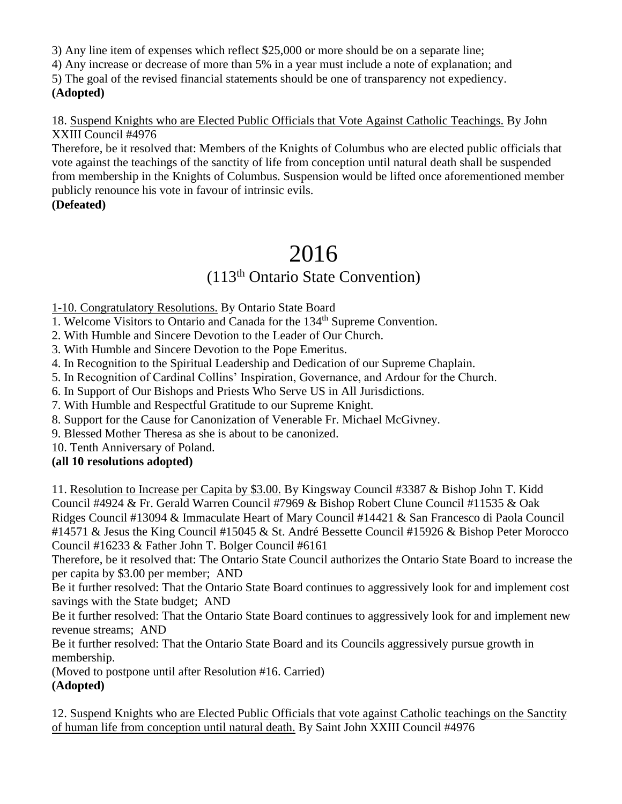3) Any line item of expenses which reflect \$25,000 or more should be on a separate line;

4) Any increase or decrease of more than 5% in a year must include a note of explanation; and

5) The goal of the revised financial statements should be one of transparency not expediency. **(Adopted)**

18. Suspend Knights who are Elected Public Officials that Vote Against Catholic Teachings. By John XXIII Council #4976

Therefore, be it resolved that: Members of the Knights of Columbus who are elected public officials that vote against the teachings of the sanctity of life from conception until natural death shall be suspended from membership in the Knights of Columbus. Suspension would be lifted once aforementioned member publicly renounce his vote in favour of intrinsic evils.

## **(Defeated)**

# 2016

## (113th Ontario State Convention)

1-10. Congratulatory Resolutions. By Ontario State Board

1. Welcome Visitors to Ontario and Canada for the 134th Supreme Convention.

2. With Humble and Sincere Devotion to the Leader of Our Church.

3. With Humble and Sincere Devotion to the Pope Emeritus.

4. In Recognition to the Spiritual Leadership and Dedication of our Supreme Chaplain.

5. In Recognition of Cardinal Collins' Inspiration, Governance, and Ardour for the Church.

6. In Support of Our Bishops and Priests Who Serve US in All Jurisdictions.

7. With Humble and Respectful Gratitude to our Supreme Knight.

8. Support for the Cause for Canonization of Venerable Fr. Michael McGivney.

9. Blessed Mother Theresa as she is about to be canonized.

10. Tenth Anniversary of Poland.

**(all 10 resolutions adopted)**

11. Resolution to Increase per Capita by \$3.00. By Kingsway Council #3387 & Bishop John T. Kidd Council #4924 & Fr. Gerald Warren Council #7969 & Bishop Robert Clune Council #11535 & Oak Ridges Council #13094 & Immaculate Heart of Mary Council #14421 & San Francesco di Paola Council #14571 & Jesus the King Council #15045 & St. André Bessette Council #15926 & Bishop Peter Morocco Council #16233 & Father John T. Bolger Council #6161

Therefore, be it resolved that: The Ontario State Council authorizes the Ontario State Board to increase the per capita by \$3.00 per member; AND

Be it further resolved: That the Ontario State Board continues to aggressively look for and implement cost savings with the State budget; AND

Be it further resolved: That the Ontario State Board continues to aggressively look for and implement new revenue streams; AND

Be it further resolved: That the Ontario State Board and its Councils aggressively pursue growth in membership.

(Moved to postpone until after Resolution #16. Carried)

**(Adopted)**

12. Suspend Knights who are Elected Public Officials that vote against Catholic teachings on the Sanctity of human life from conception until natural death. By Saint John XXIII Council #4976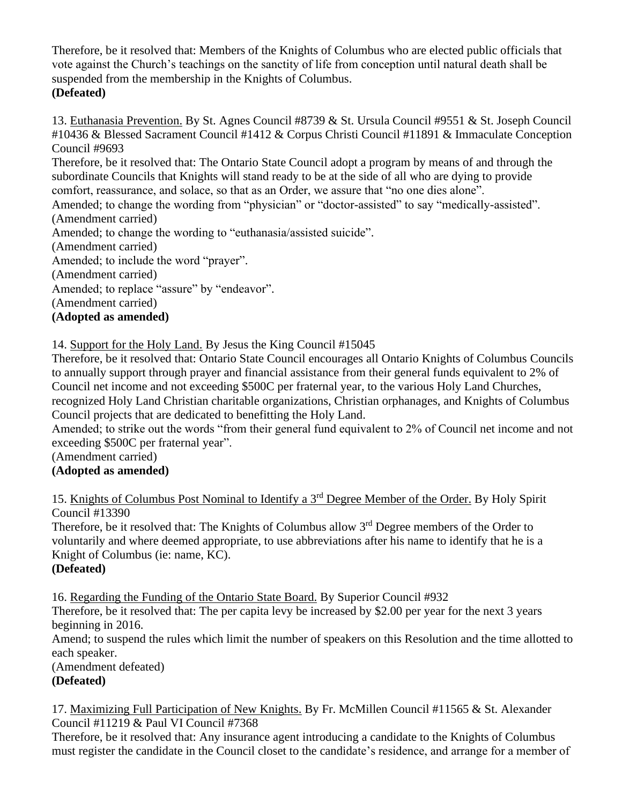Therefore, be it resolved that: Members of the Knights of Columbus who are elected public officials that vote against the Church's teachings on the sanctity of life from conception until natural death shall be suspended from the membership in the Knights of Columbus. **(Defeated)**

13. Euthanasia Prevention. By St. Agnes Council #8739 & St. Ursula Council #9551 & St. Joseph Council #10436 & Blessed Sacrament Council #1412 & Corpus Christi Council #11891 & Immaculate Conception Council #9693

Therefore, be it resolved that: The Ontario State Council adopt a program by means of and through the subordinate Councils that Knights will stand ready to be at the side of all who are dying to provide comfort, reassurance, and solace, so that as an Order, we assure that "no one dies alone".

Amended; to change the wording from "physician" or "doctor-assisted" to say "medically-assisted". (Amendment carried)

Amended; to change the wording to "euthanasia/assisted suicide".

(Amendment carried)

Amended; to include the word "prayer".

(Amendment carried)

Amended; to replace "assure" by "endeavor".

(Amendment carried)

#### **(Adopted as amended)**

14. Support for the Holy Land. By Jesus the King Council #15045

Therefore, be it resolved that: Ontario State Council encourages all Ontario Knights of Columbus Councils to annually support through prayer and financial assistance from their general funds equivalent to 2% of Council net income and not exceeding \$500C per fraternal year, to the various Holy Land Churches, recognized Holy Land Christian charitable organizations, Christian orphanages, and Knights of Columbus Council projects that are dedicated to benefitting the Holy Land.

Amended; to strike out the words "from their general fund equivalent to 2% of Council net income and not exceeding \$500C per fraternal year".

(Amendment carried)

## **(Adopted as amended)**

15. Knights of Columbus Post Nominal to Identify a 3rd Degree Member of the Order. By Holy Spirit Council #13390

Therefore, be it resolved that: The Knights of Columbus allow 3<sup>rd</sup> Degree members of the Order to voluntarily and where deemed appropriate, to use abbreviations after his name to identify that he is a Knight of Columbus (ie: name, KC).

## **(Defeated)**

16. Regarding the Funding of the Ontario State Board. By Superior Council #932

Therefore, be it resolved that: The per capita levy be increased by \$2.00 per year for the next 3 years beginning in 2016.

Amend; to suspend the rules which limit the number of speakers on this Resolution and the time allotted to each speaker.

(Amendment defeated)

## **(Defeated)**

17. Maximizing Full Participation of New Knights. By Fr. McMillen Council #11565 & St. Alexander Council #11219 & Paul VI Council #7368

Therefore, be it resolved that: Any insurance agent introducing a candidate to the Knights of Columbus must register the candidate in the Council closet to the candidate's residence, and arrange for a member of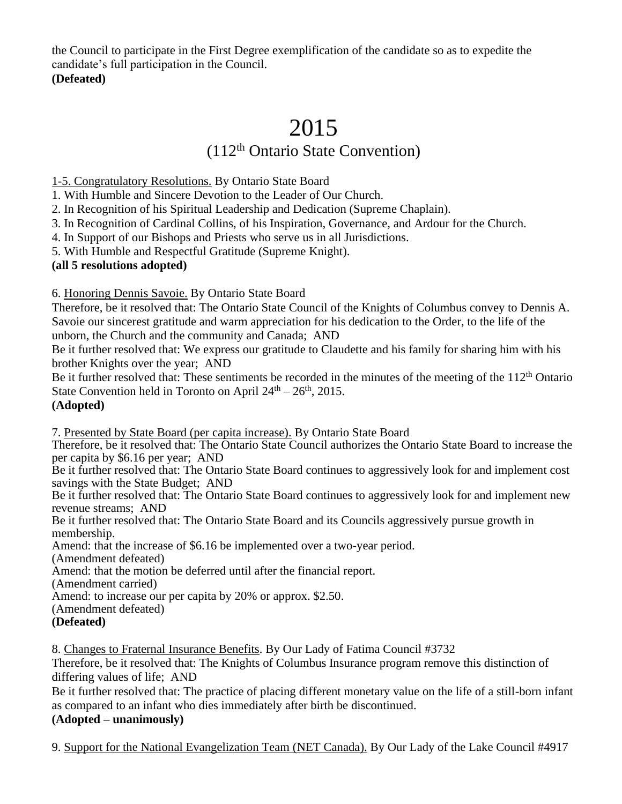the Council to participate in the First Degree exemplification of the candidate so as to expedite the candidate's full participation in the Council. **(Defeated)**

# 2015

## (112th Ontario State Convention)

1-5. Congratulatory Resolutions. By Ontario State Board

1. With Humble and Sincere Devotion to the Leader of Our Church.

2. In Recognition of his Spiritual Leadership and Dedication (Supreme Chaplain).

3. In Recognition of Cardinal Collins, of his Inspiration, Governance, and Ardour for the Church.

4. In Support of our Bishops and Priests who serve us in all Jurisdictions.

5. With Humble and Respectful Gratitude (Supreme Knight).

## **(all 5 resolutions adopted)**

6. Honoring Dennis Savoie. By Ontario State Board

Therefore, be it resolved that: The Ontario State Council of the Knights of Columbus convey to Dennis A. Savoie our sincerest gratitude and warm appreciation for his dedication to the Order, to the life of the unborn, the Church and the community and Canada; AND

Be it further resolved that: We express our gratitude to Claudette and his family for sharing him with his brother Knights over the year; AND

Be it further resolved that: These sentiments be recorded in the minutes of the meeting of the 112<sup>th</sup> Ontario State Convention held in Toronto on April  $24<sup>th</sup> - 26<sup>th</sup>$ , 2015. **(Adopted)**

7. Presented by State Board (per capita increase). By Ontario State Board

Therefore, be it resolved that: The Ontario State Council authorizes the Ontario State Board to increase the per capita by \$6.16 per year; AND

Be it further resolved that: The Ontario State Board continues to aggressively look for and implement cost savings with the State Budget; AND

Be it further resolved that: The Ontario State Board continues to aggressively look for and implement new revenue streams; AND

Be it further resolved that: The Ontario State Board and its Councils aggressively pursue growth in membership.

Amend: that the increase of \$6.16 be implemented over a two-year period.

(Amendment defeated)

Amend: that the motion be deferred until after the financial report.

(Amendment carried)

Amend: to increase our per capita by 20% or approx. \$2.50.

(Amendment defeated)

## **(Defeated)**

8. Changes to Fraternal Insurance Benefits. By Our Lady of Fatima Council #3732

Therefore, be it resolved that: The Knights of Columbus Insurance program remove this distinction of differing values of life; AND

Be it further resolved that: The practice of placing different monetary value on the life of a still-born infant as compared to an infant who dies immediately after birth be discontinued.

## **(Adopted – unanimously)**

9. Support for the National Evangelization Team (NET Canada). By Our Lady of the Lake Council #4917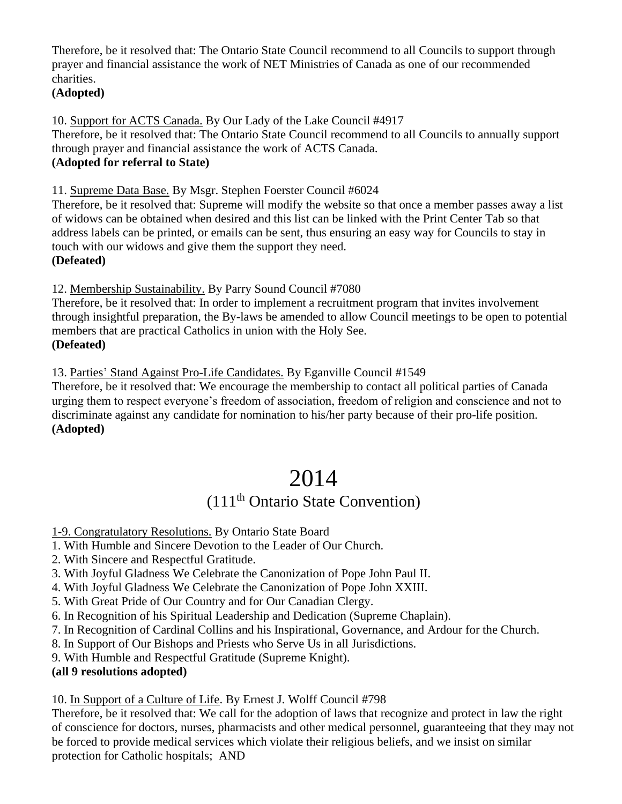Therefore, be it resolved that: The Ontario State Council recommend to all Councils to support through prayer and financial assistance the work of NET Ministries of Canada as one of our recommended charities.

#### **(Adopted)**

10. Support for ACTS Canada. By Our Lady of the Lake Council #4917 Therefore, be it resolved that: The Ontario State Council recommend to all Councils to annually support through prayer and financial assistance the work of ACTS Canada. **(Adopted for referral to State)**

11. Supreme Data Base. By Msgr. Stephen Foerster Council #6024

Therefore, be it resolved that: Supreme will modify the website so that once a member passes away a list of widows can be obtained when desired and this list can be linked with the Print Center Tab so that address labels can be printed, or emails can be sent, thus ensuring an easy way for Councils to stay in touch with our widows and give them the support they need. **(Defeated)**

12. Membership Sustainability. By Parry Sound Council #7080

Therefore, be it resolved that: In order to implement a recruitment program that invites involvement through insightful preparation, the By-laws be amended to allow Council meetings to be open to potential members that are practical Catholics in union with the Holy See. **(Defeated)**

13. Parties' Stand Against Pro-Life Candidates. By Eganville Council #1549

Therefore, be it resolved that: We encourage the membership to contact all political parties of Canada urging them to respect everyone's freedom of association, freedom of religion and conscience and not to discriminate against any candidate for nomination to his/her party because of their pro-life position. **(Adopted)**

# 2014

## (111th Ontario State Convention)

- 1-9. Congratulatory Resolutions. By Ontario State Board
- 1. With Humble and Sincere Devotion to the Leader of Our Church.
- 2. With Sincere and Respectful Gratitude.
- 3. With Joyful Gladness We Celebrate the Canonization of Pope John Paul II.
- 4. With Joyful Gladness We Celebrate the Canonization of Pope John XXIII.
- 5. With Great Pride of Our Country and for Our Canadian Clergy.
- 6. In Recognition of his Spiritual Leadership and Dedication (Supreme Chaplain).
- 7. In Recognition of Cardinal Collins and his Inspirational, Governance, and Ardour for the Church.
- 8. In Support of Our Bishops and Priests who Serve Us in all Jurisdictions.
- 9. With Humble and Respectful Gratitude (Supreme Knight).
- **(all 9 resolutions adopted)**

10. In Support of a Culture of Life. By Ernest J. Wolff Council #798

Therefore, be it resolved that: We call for the adoption of laws that recognize and protect in law the right of conscience for doctors, nurses, pharmacists and other medical personnel, guaranteeing that they may not be forced to provide medical services which violate their religious beliefs, and we insist on similar protection for Catholic hospitals; AND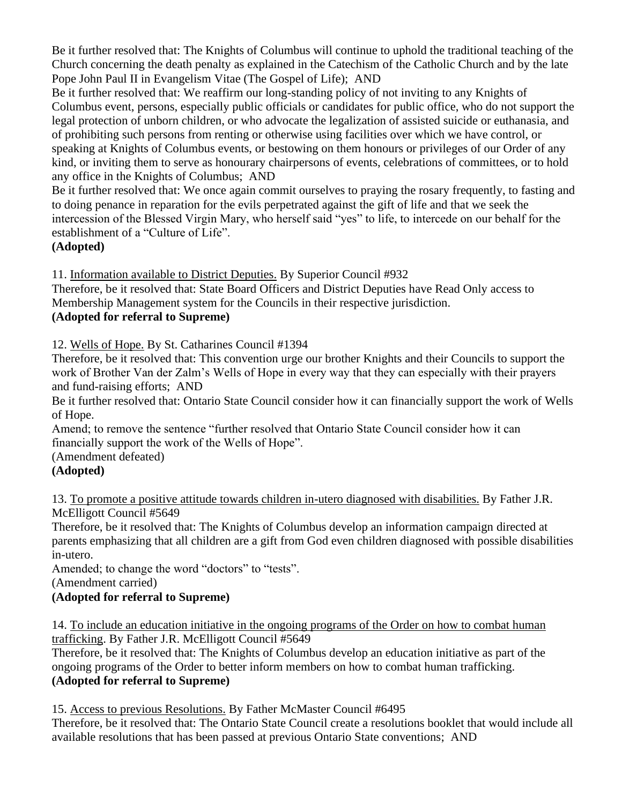Be it further resolved that: The Knights of Columbus will continue to uphold the traditional teaching of the Church concerning the death penalty as explained in the Catechism of the Catholic Church and by the late Pope John Paul II in Evangelism Vitae (The Gospel of Life); AND

Be it further resolved that: We reaffirm our long-standing policy of not inviting to any Knights of Columbus event, persons, especially public officials or candidates for public office, who do not support the legal protection of unborn children, or who advocate the legalization of assisted suicide or euthanasia, and of prohibiting such persons from renting or otherwise using facilities over which we have control, or speaking at Knights of Columbus events, or bestowing on them honours or privileges of our Order of any kind, or inviting them to serve as honourary chairpersons of events, celebrations of committees, or to hold any office in the Knights of Columbus; AND

Be it further resolved that: We once again commit ourselves to praying the rosary frequently, to fasting and to doing penance in reparation for the evils perpetrated against the gift of life and that we seek the intercession of the Blessed Virgin Mary, who herself said "yes" to life, to intercede on our behalf for the establishment of a "Culture of Life".

## **(Adopted)**

11. Information available to District Deputies. By Superior Council #932

Therefore, be it resolved that: State Board Officers and District Deputies have Read Only access to Membership Management system for the Councils in their respective jurisdiction. **(Adopted for referral to Supreme)**

## 12. Wells of Hope. By St. Catharines Council #1394

Therefore, be it resolved that: This convention urge our brother Knights and their Councils to support the work of Brother Van der Zalm's Wells of Hope in every way that they can especially with their prayers and fund-raising efforts; AND

Be it further resolved that: Ontario State Council consider how it can financially support the work of Wells of Hope.

Amend; to remove the sentence "further resolved that Ontario State Council consider how it can financially support the work of the Wells of Hope".

(Amendment defeated)

## **(Adopted)**

13. To promote a positive attitude towards children in-utero diagnosed with disabilities. By Father J.R. McElligott Council #5649

Therefore, be it resolved that: The Knights of Columbus develop an information campaign directed at parents emphasizing that all children are a gift from God even children diagnosed with possible disabilities in-utero.

Amended; to change the word "doctors" to "tests".

(Amendment carried)

## **(Adopted for referral to Supreme)**

14. To include an education initiative in the ongoing programs of the Order on how to combat human trafficking. By Father J.R. McElligott Council #5649

Therefore, be it resolved that: The Knights of Columbus develop an education initiative as part of the ongoing programs of the Order to better inform members on how to combat human trafficking. **(Adopted for referral to Supreme)**

15. Access to previous Resolutions. By Father McMaster Council #6495

Therefore, be it resolved that: The Ontario State Council create a resolutions booklet that would include all available resolutions that has been passed at previous Ontario State conventions; AND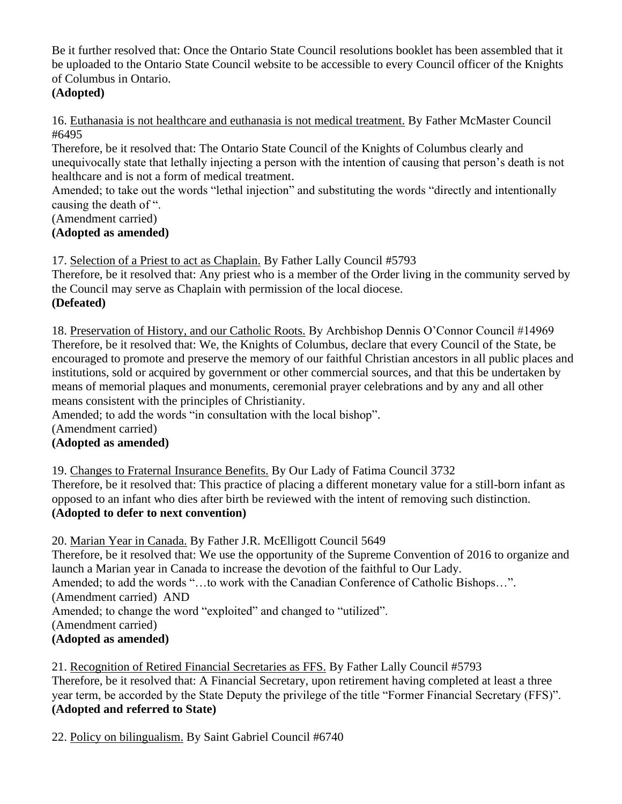Be it further resolved that: Once the Ontario State Council resolutions booklet has been assembled that it be uploaded to the Ontario State Council website to be accessible to every Council officer of the Knights of Columbus in Ontario.

## **(Adopted)**

16. Euthanasia is not healthcare and euthanasia is not medical treatment. By Father McMaster Council #6495

Therefore, be it resolved that: The Ontario State Council of the Knights of Columbus clearly and unequivocally state that lethally injecting a person with the intention of causing that person's death is not healthcare and is not a form of medical treatment.

Amended; to take out the words "lethal injection" and substituting the words "directly and intentionally causing the death of ".

(Amendment carried)

## **(Adopted as amended)**

17. Selection of a Priest to act as Chaplain. By Father Lally Council #5793

Therefore, be it resolved that: Any priest who is a member of the Order living in the community served by the Council may serve as Chaplain with permission of the local diocese. **(Defeated)**

18. Preservation of History, and our Catholic Roots. By Archbishop Dennis O'Connor Council #14969 Therefore, be it resolved that: We, the Knights of Columbus, declare that every Council of the State, be encouraged to promote and preserve the memory of our faithful Christian ancestors in all public places and institutions, sold or acquired by government or other commercial sources, and that this be undertaken by means of memorial plaques and monuments, ceremonial prayer celebrations and by any and all other means consistent with the principles of Christianity.

Amended; to add the words "in consultation with the local bishop".

(Amendment carried)

## **(Adopted as amended)**

19. Changes to Fraternal Insurance Benefits. By Our Lady of Fatima Council 3732 Therefore, be it resolved that: This practice of placing a different monetary value for a still-born infant as opposed to an infant who dies after birth be reviewed with the intent of removing such distinction. **(Adopted to defer to next convention)**

20. Marian Year in Canada. By Father J.R. McElligott Council 5649 Therefore, be it resolved that: We use the opportunity of the Supreme Convention of 2016 to organize and launch a Marian year in Canada to increase the devotion of the faithful to Our Lady. Amended; to add the words "…to work with the Canadian Conference of Catholic Bishops…". (Amendment carried) AND Amended; to change the word "exploited" and changed to "utilized". (Amendment carried) **(Adopted as amended)**

21. Recognition of Retired Financial Secretaries as FFS. By Father Lally Council #5793 Therefore, be it resolved that: A Financial Secretary, upon retirement having completed at least a three year term, be accorded by the State Deputy the privilege of the title "Former Financial Secretary (FFS)". **(Adopted and referred to State)**

22. Policy on bilingualism. By Saint Gabriel Council #6740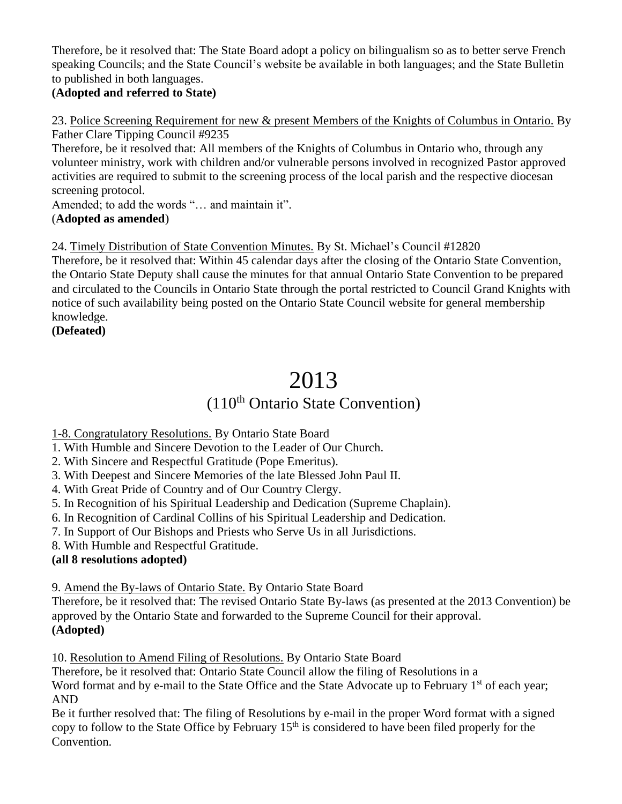Therefore, be it resolved that: The State Board adopt a policy on bilingualism so as to better serve French speaking Councils; and the State Council's website be available in both languages; and the State Bulletin to published in both languages.

## **(Adopted and referred to State)**

23. Police Screening Requirement for new & present Members of the Knights of Columbus in Ontario. By Father Clare Tipping Council #9235

Therefore, be it resolved that: All members of the Knights of Columbus in Ontario who, through any volunteer ministry, work with children and/or vulnerable persons involved in recognized Pastor approved activities are required to submit to the screening process of the local parish and the respective diocesan screening protocol.

Amended; to add the words "… and maintain it". (**Adopted as amended**)

24. Timely Distribution of State Convention Minutes. By St. Michael's Council #12820

Therefore, be it resolved that: Within 45 calendar days after the closing of the Ontario State Convention, the Ontario State Deputy shall cause the minutes for that annual Ontario State Convention to be prepared and circulated to the Councils in Ontario State through the portal restricted to Council Grand Knights with notice of such availability being posted on the Ontario State Council website for general membership knowledge.

**(Defeated)**

# 2013

## (110th Ontario State Convention)

1-8. Congratulatory Resolutions. By Ontario State Board

1. With Humble and Sincere Devotion to the Leader of Our Church.

2. With Sincere and Respectful Gratitude (Pope Emeritus).

3. With Deepest and Sincere Memories of the late Blessed John Paul II.

4. With Great Pride of Country and of Our Country Clergy.

5. In Recognition of his Spiritual Leadership and Dedication (Supreme Chaplain).

6. In Recognition of Cardinal Collins of his Spiritual Leadership and Dedication.

7. In Support of Our Bishops and Priests who Serve Us in all Jurisdictions.

8. With Humble and Respectful Gratitude.

## **(all 8 resolutions adopted)**

9. Amend the By-laws of Ontario State. By Ontario State Board

Therefore, be it resolved that: The revised Ontario State By-laws (as presented at the 2013 Convention) be approved by the Ontario State and forwarded to the Supreme Council for their approval. **(Adopted)**

10. Resolution to Amend Filing of Resolutions. By Ontario State Board

Therefore, be it resolved that: Ontario State Council allow the filing of Resolutions in a

Word format and by e-mail to the State Office and the State Advocate up to February 1<sup>st</sup> of each year; AND

Be it further resolved that: The filing of Resolutions by e-mail in the proper Word format with a signed copy to follow to the State Office by February  $15<sup>th</sup>$  is considered to have been filed properly for the Convention.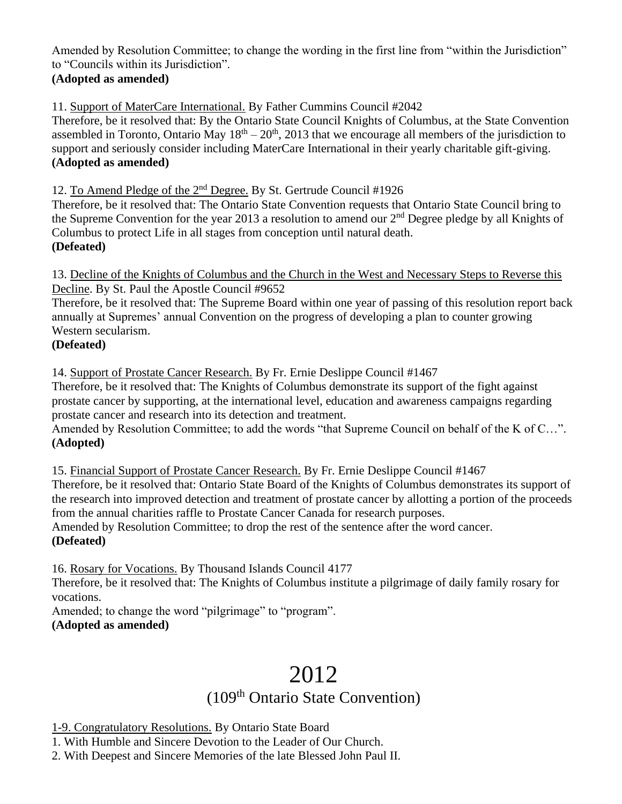Amended by Resolution Committee; to change the wording in the first line from "within the Jurisdiction" to "Councils within its Jurisdiction".

## **(Adopted as amended)**

11. Support of MaterCare International. By Father Cummins Council #2042

Therefore, be it resolved that: By the Ontario State Council Knights of Columbus, at the State Convention assembled in Toronto, Ontario May  $18<sup>th</sup> - 20<sup>th</sup>$ , 2013 that we encourage all members of the jurisdiction to support and seriously consider including MaterCare International in their yearly charitable gift-giving. **(Adopted as amended)**

12. To Amend Pledge of the 2<sup>nd</sup> Degree. By St. Gertrude Council #1926

Therefore, be it resolved that: The Ontario State Convention requests that Ontario State Council bring to the Supreme Convention for the year 2013 a resolution to amend our  $2<sup>nd</sup>$  Degree pledge by all Knights of Columbus to protect Life in all stages from conception until natural death. **(Defeated)**

13. Decline of the Knights of Columbus and the Church in the West and Necessary Steps to Reverse this Decline. By St. Paul the Apostle Council #9652

Therefore, be it resolved that: The Supreme Board within one year of passing of this resolution report back annually at Supremes' annual Convention on the progress of developing a plan to counter growing Western secularism.

## **(Defeated)**

14. Support of Prostate Cancer Research. By Fr. Ernie Deslippe Council #1467

Therefore, be it resolved that: The Knights of Columbus demonstrate its support of the fight against prostate cancer by supporting, at the international level, education and awareness campaigns regarding prostate cancer and research into its detection and treatment.

Amended by Resolution Committee; to add the words "that Supreme Council on behalf of the K of C...". **(Adopted)**

15. Financial Support of Prostate Cancer Research. By Fr. Ernie Deslippe Council #1467

Therefore, be it resolved that: Ontario State Board of the Knights of Columbus demonstrates its support of the research into improved detection and treatment of prostate cancer by allotting a portion of the proceeds from the annual charities raffle to Prostate Cancer Canada for research purposes.

Amended by Resolution Committee; to drop the rest of the sentence after the word cancer. **(Defeated)**

16. Rosary for Vocations. By Thousand Islands Council 4177

Therefore, be it resolved that: The Knights of Columbus institute a pilgrimage of daily family rosary for vocations.

Amended; to change the word "pilgrimage" to "program". **(Adopted as amended)**

# 2012

## (109<sup>th</sup> Ontario State Convention)

1-9. Congratulatory Resolutions. By Ontario State Board

1. With Humble and Sincere Devotion to the Leader of Our Church.

2. With Deepest and Sincere Memories of the late Blessed John Paul II.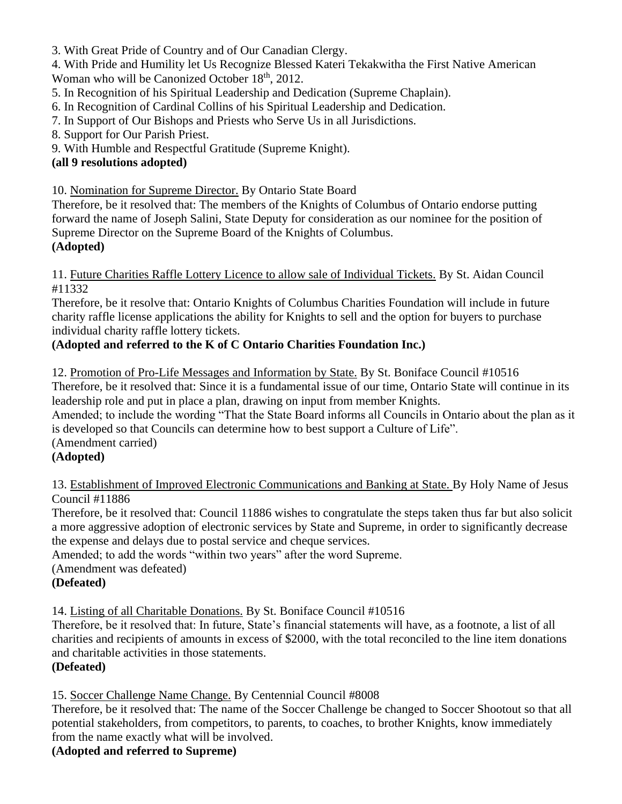3. With Great Pride of Country and of Our Canadian Clergy.

4. With Pride and Humility let Us Recognize Blessed Kateri Tekakwitha the First Native American Woman who will be Canonized October 18<sup>th</sup>, 2012.

5. In Recognition of his Spiritual Leadership and Dedication (Supreme Chaplain).

6. In Recognition of Cardinal Collins of his Spiritual Leadership and Dedication.

7. In Support of Our Bishops and Priests who Serve Us in all Jurisdictions.

8. Support for Our Parish Priest.

9. With Humble and Respectful Gratitude (Supreme Knight).

## **(all 9 resolutions adopted)**

10. Nomination for Supreme Director. By Ontario State Board

Therefore, be it resolved that: The members of the Knights of Columbus of Ontario endorse putting forward the name of Joseph Salini, State Deputy for consideration as our nominee for the position of Supreme Director on the Supreme Board of the Knights of Columbus. **(Adopted)**

11. Future Charities Raffle Lottery Licence to allow sale of Individual Tickets. By St. Aidan Council #11332

Therefore, be it resolve that: Ontario Knights of Columbus Charities Foundation will include in future charity raffle license applications the ability for Knights to sell and the option for buyers to purchase individual charity raffle lottery tickets.

## **(Adopted and referred to the K of C Ontario Charities Foundation Inc.)**

12. Promotion of Pro-Life Messages and Information by State. By St. Boniface Council #10516 Therefore, be it resolved that: Since it is a fundamental issue of our time, Ontario State will continue in its leadership role and put in place a plan, drawing on input from member Knights.

Amended; to include the wording "That the State Board informs all Councils in Ontario about the plan as it is developed so that Councils can determine how to best support a Culture of Life".

(Amendment carried)

## **(Adopted)**

13. Establishment of Improved Electronic Communications and Banking at State. By Holy Name of Jesus Council #11886

Therefore, be it resolved that: Council 11886 wishes to congratulate the steps taken thus far but also solicit a more aggressive adoption of electronic services by State and Supreme, in order to significantly decrease the expense and delays due to postal service and cheque services.

Amended; to add the words "within two years" after the word Supreme.

(Amendment was defeated)

## **(Defeated)**

14. Listing of all Charitable Donations. By St. Boniface Council #10516

Therefore, be it resolved that: In future, State's financial statements will have, as a footnote, a list of all charities and recipients of amounts in excess of \$2000, with the total reconciled to the line item donations and charitable activities in those statements.

## **(Defeated)**

15. Soccer Challenge Name Change. By Centennial Council #8008

Therefore, be it resolved that: The name of the Soccer Challenge be changed to Soccer Shootout so that all potential stakeholders, from competitors, to parents, to coaches, to brother Knights, know immediately from the name exactly what will be involved.

**(Adopted and referred to Supreme)**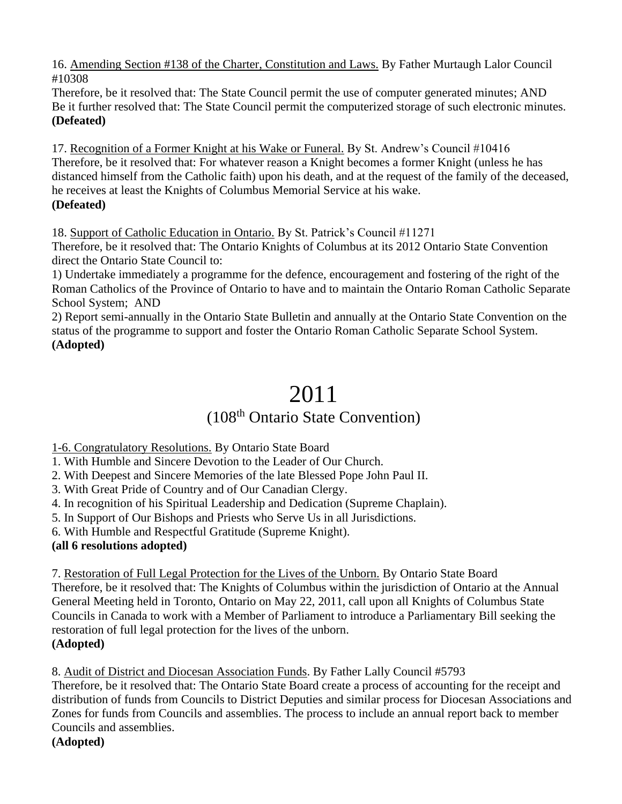16. Amending Section #138 of the Charter, Constitution and Laws. By Father Murtaugh Lalor Council #10308

Therefore, be it resolved that: The State Council permit the use of computer generated minutes; AND Be it further resolved that: The State Council permit the computerized storage of such electronic minutes. **(Defeated)**

17. Recognition of a Former Knight at his Wake or Funeral. By St. Andrew's Council #10416 Therefore, be it resolved that: For whatever reason a Knight becomes a former Knight (unless he has distanced himself from the Catholic faith) upon his death, and at the request of the family of the deceased, he receives at least the Knights of Columbus Memorial Service at his wake. **(Defeated)**

18. Support of Catholic Education in Ontario. By St. Patrick's Council #11271

Therefore, be it resolved that: The Ontario Knights of Columbus at its 2012 Ontario State Convention direct the Ontario State Council to:

1) Undertake immediately a programme for the defence, encouragement and fostering of the right of the Roman Catholics of the Province of Ontario to have and to maintain the Ontario Roman Catholic Separate School System; AND

2) Report semi-annually in the Ontario State Bulletin and annually at the Ontario State Convention on the status of the programme to support and foster the Ontario Roman Catholic Separate School System. **(Adopted)**

# 2011

## (108th Ontario State Convention)

1-6. Congratulatory Resolutions. By Ontario State Board

1. With Humble and Sincere Devotion to the Leader of Our Church.

2. With Deepest and Sincere Memories of the late Blessed Pope John Paul II.

3. With Great Pride of Country and of Our Canadian Clergy.

4. In recognition of his Spiritual Leadership and Dedication (Supreme Chaplain).

5. In Support of Our Bishops and Priests who Serve Us in all Jurisdictions.

6. With Humble and Respectful Gratitude (Supreme Knight).

## **(all 6 resolutions adopted)**

7. Restoration of Full Legal Protection for the Lives of the Unborn. By Ontario State Board Therefore, be it resolved that: The Knights of Columbus within the jurisdiction of Ontario at the Annual General Meeting held in Toronto, Ontario on May 22, 2011, call upon all Knights of Columbus State Councils in Canada to work with a Member of Parliament to introduce a Parliamentary Bill seeking the restoration of full legal protection for the lives of the unborn. **(Adopted)**

8. Audit of District and Diocesan Association Funds. By Father Lally Council #5793 Therefore, be it resolved that: The Ontario State Board create a process of accounting for the receipt and distribution of funds from Councils to District Deputies and similar process for Diocesan Associations and Zones for funds from Councils and assemblies. The process to include an annual report back to member Councils and assemblies. **(Adopted)**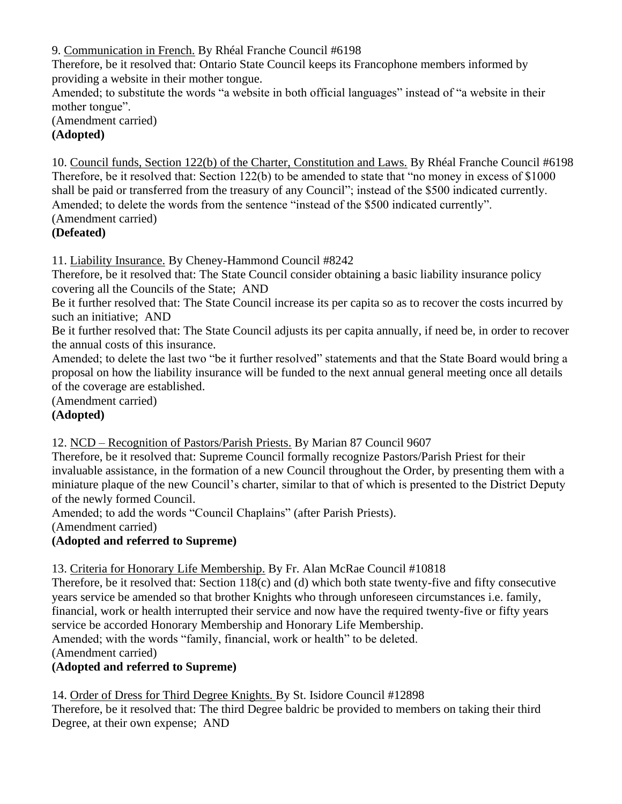9. Communication in French. By Rhéal Franche Council #6198

Therefore, be it resolved that: Ontario State Council keeps its Francophone members informed by providing a website in their mother tongue.

Amended; to substitute the words "a website in both official languages" instead of "a website in their mother tongue".

(Amendment carried) **(Adopted)**

10. Council funds, Section 122(b) of the Charter, Constitution and Laws. By Rhéal Franche Council #6198 Therefore, be it resolved that: Section 122(b) to be amended to state that "no money in excess of \$1000 shall be paid or transferred from the treasury of any Council"; instead of the \$500 indicated currently. Amended; to delete the words from the sentence "instead of the \$500 indicated currently". (Amendment carried)

## **(Defeated)**

11. Liability Insurance. By Cheney-Hammond Council #8242

Therefore, be it resolved that: The State Council consider obtaining a basic liability insurance policy covering all the Councils of the State; AND

Be it further resolved that: The State Council increase its per capita so as to recover the costs incurred by such an initiative; AND

Be it further resolved that: The State Council adjusts its per capita annually, if need be, in order to recover the annual costs of this insurance.

Amended; to delete the last two "be it further resolved" statements and that the State Board would bring a proposal on how the liability insurance will be funded to the next annual general meeting once all details of the coverage are established.

(Amendment carried)

## **(Adopted)**

## 12. NCD – Recognition of Pastors/Parish Priests. By Marian 87 Council 9607

Therefore, be it resolved that: Supreme Council formally recognize Pastors/Parish Priest for their invaluable assistance, in the formation of a new Council throughout the Order, by presenting them with a miniature plaque of the new Council's charter, similar to that of which is presented to the District Deputy of the newly formed Council.

Amended; to add the words "Council Chaplains" (after Parish Priests).

(Amendment carried)

## **(Adopted and referred to Supreme)**

## 13. Criteria for Honorary Life Membership. By Fr. Alan McRae Council #10818

Therefore, be it resolved that: Section 118(c) and (d) which both state twenty-five and fifty consecutive years service be amended so that brother Knights who through unforeseen circumstances i.e. family, financial, work or health interrupted their service and now have the required twenty-five or fifty years service be accorded Honorary Membership and Honorary Life Membership.

Amended; with the words "family, financial, work or health" to be deleted.

(Amendment carried)

## **(Adopted and referred to Supreme)**

## 14. Order of Dress for Third Degree Knights. By St. Isidore Council #12898

Therefore, be it resolved that: The third Degree baldric be provided to members on taking their third Degree, at their own expense; AND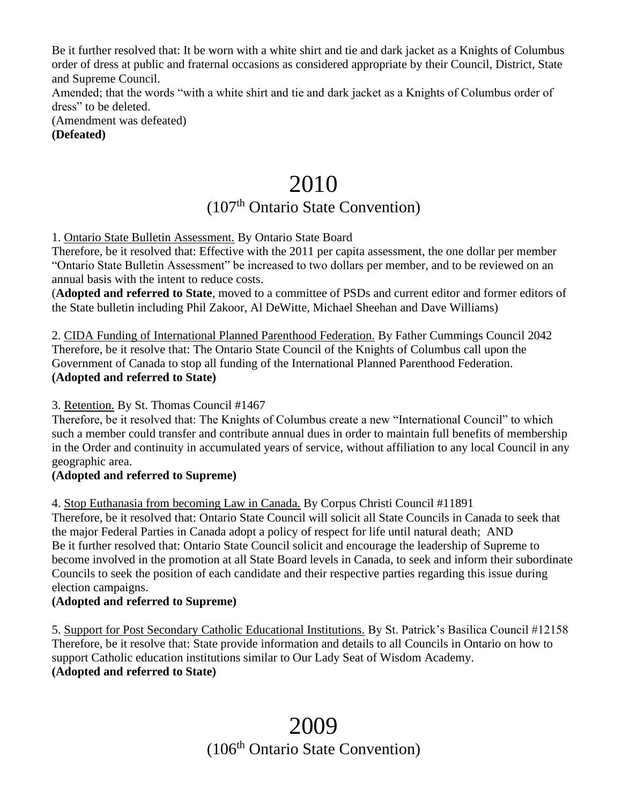Be it further resolved that: It be worn with a white shirt and tie and dark jacket as a Knights of Columbus order of dress at public and fraternal occasions as considered appropriate by their Council, District, State and Supreme Council.

Amended; that the words "with a white shirt and tie and dark jacket as a Knights of Columbus order of dress" to be deleted.

(Amendment was defeated) **(Defeated)**

# 2010

## (107<sup>th</sup> Ontario State Convention)

1. Ontario State Bulletin Assessment. By Ontario State Board

Therefore, be it resolved that: Effective with the 2011 per capita assessment, the one dollar per member "Ontario State Bulletin Assessment" be increased to two dollars per member, and to be reviewed on an annual basis with the intent to reduce costs.

(**Adopted and referred to State**, moved to a committee of PSDs and current editor and former editors of the State bulletin including Phil Zakoor, Al DeWitte, Michael Sheehan and Dave Williams)

2. CIDA Funding of International Planned Parenthood Federation. By Father Cummings Council 2042 Therefore, be it resolve that: The Ontario State Council of the Knights of Columbus call upon the Government of Canada to stop all funding of the International Planned Parenthood Federation. **(Adopted and referred to State)**

3. Retention. By St. Thomas Council #1467

Therefore, be it resolved that: The Knights of Columbus create a new "International Council" to which such a member could transfer and contribute annual dues in order to maintain full benefits of membership in the Order and continuity in accumulated years of service, without affiliation to any local Council in any geographic area.

## **(Adopted and referred to Supreme)**

4. Stop Euthanasia from becoming Law in Canada. By Corpus Christi Council #11891 Therefore, be it resolved that: Ontario State Council will solicit all State Councils in Canada to seek that the major Federal Parties in Canada adopt a policy of respect for life until natural death; AND Be it further resolved that: Ontario State Council solicit and encourage the leadership of Supreme to become involved in the promotion at all State Board levels in Canada, to seek and inform their subordinate Councils to seek the position of each candidate and their respective parties regarding this issue during

#### election campaigns. **(Adopted and referred to Supreme)**

5. Support for Post Secondary Catholic Educational Institutions. By St. Patrick's Basilica Council #12158 Therefore, be it resolve that: State provide information and details to all Councils in Ontario on how to support Catholic education institutions similar to Our Lady Seat of Wisdom Academy. **(Adopted and referred to State)**

## 2009 (106<sup>th</sup> Ontario State Convention)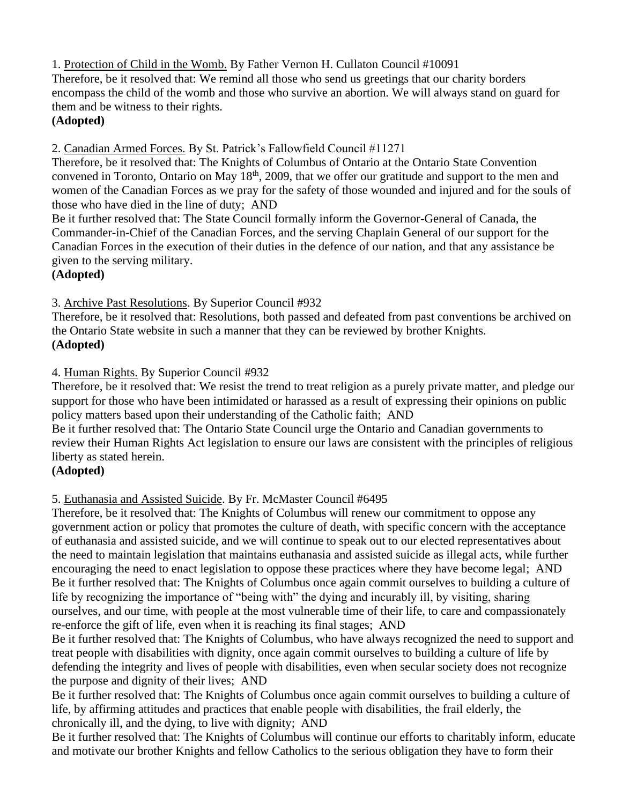1. Protection of Child in the Womb. By Father Vernon H. Cullaton Council #10091

Therefore, be it resolved that: We remind all those who send us greetings that our charity borders encompass the child of the womb and those who survive an abortion. We will always stand on guard for them and be witness to their rights.

## **(Adopted)**

2. Canadian Armed Forces. By St. Patrick's Fallowfield Council #11271

Therefore, be it resolved that: The Knights of Columbus of Ontario at the Ontario State Convention convened in Toronto, Ontario on May 18<sup>th</sup>, 2009, that we offer our gratitude and support to the men and women of the Canadian Forces as we pray for the safety of those wounded and injured and for the souls of those who have died in the line of duty; AND

Be it further resolved that: The State Council formally inform the Governor-General of Canada, the Commander-in-Chief of the Canadian Forces, and the serving Chaplain General of our support for the Canadian Forces in the execution of their duties in the defence of our nation, and that any assistance be given to the serving military.

## **(Adopted)**

3. Archive Past Resolutions. By Superior Council #932

Therefore, be it resolved that: Resolutions, both passed and defeated from past conventions be archived on the Ontario State website in such a manner that they can be reviewed by brother Knights. **(Adopted)**

4. Human Rights. By Superior Council #932

Therefore, be it resolved that: We resist the trend to treat religion as a purely private matter, and pledge our support for those who have been intimidated or harassed as a result of expressing their opinions on public policy matters based upon their understanding of the Catholic faith; AND

Be it further resolved that: The Ontario State Council urge the Ontario and Canadian governments to review their Human Rights Act legislation to ensure our laws are consistent with the principles of religious liberty as stated herein.

## **(Adopted)**

5. Euthanasia and Assisted Suicide. By Fr. McMaster Council #6495

Therefore, be it resolved that: The Knights of Columbus will renew our commitment to oppose any government action or policy that promotes the culture of death, with specific concern with the acceptance of euthanasia and assisted suicide, and we will continue to speak out to our elected representatives about the need to maintain legislation that maintains euthanasia and assisted suicide as illegal acts, while further encouraging the need to enact legislation to oppose these practices where they have become legal; AND Be it further resolved that: The Knights of Columbus once again commit ourselves to building a culture of life by recognizing the importance of "being with" the dying and incurably ill, by visiting, sharing ourselves, and our time, with people at the most vulnerable time of their life, to care and compassionately re-enforce the gift of life, even when it is reaching its final stages; AND

Be it further resolved that: The Knights of Columbus, who have always recognized the need to support and treat people with disabilities with dignity, once again commit ourselves to building a culture of life by defending the integrity and lives of people with disabilities, even when secular society does not recognize the purpose and dignity of their lives; AND

Be it further resolved that: The Knights of Columbus once again commit ourselves to building a culture of life, by affirming attitudes and practices that enable people with disabilities, the frail elderly, the chronically ill, and the dying, to live with dignity; AND

Be it further resolved that: The Knights of Columbus will continue our efforts to charitably inform, educate and motivate our brother Knights and fellow Catholics to the serious obligation they have to form their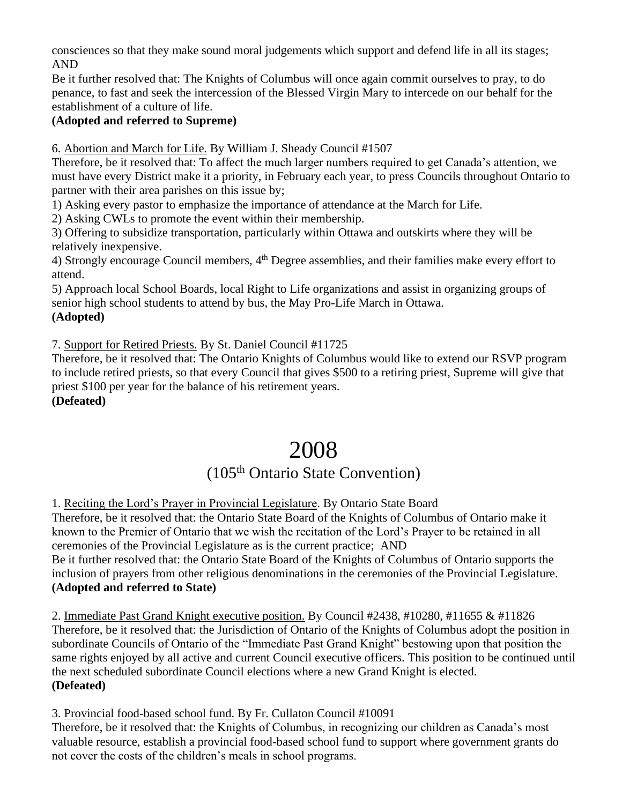consciences so that they make sound moral judgements which support and defend life in all its stages; AND

Be it further resolved that: The Knights of Columbus will once again commit ourselves to pray, to do penance, to fast and seek the intercession of the Blessed Virgin Mary to intercede on our behalf for the establishment of a culture of life.

#### **(Adopted and referred to Supreme)**

6. Abortion and March for Life. By William J. Sheady Council #1507

Therefore, be it resolved that: To affect the much larger numbers required to get Canada's attention, we must have every District make it a priority, in February each year, to press Councils throughout Ontario to partner with their area parishes on this issue by;

1) Asking every pastor to emphasize the importance of attendance at the March for Life.

2) Asking CWLs to promote the event within their membership.

3) Offering to subsidize transportation, particularly within Ottawa and outskirts where they will be relatively inexpensive.

4) Strongly encourage Council members, 4<sup>th</sup> Degree assemblies, and their families make every effort to attend.

5) Approach local School Boards, local Right to Life organizations and assist in organizing groups of senior high school students to attend by bus, the May Pro-Life March in Ottawa. **(Adopted)**

7. Support for Retired Priests. By St. Daniel Council #11725

Therefore, be it resolved that: The Ontario Knights of Columbus would like to extend our RSVP program to include retired priests, so that every Council that gives \$500 to a retiring priest, Supreme will give that priest \$100 per year for the balance of his retirement years.

#### **(Defeated)**

## 2008

## (105<sup>th</sup> Ontario State Convention)

1. Reciting the Lord's Prayer in Provincial Legislature. By Ontario State Board

Therefore, be it resolved that: the Ontario State Board of the Knights of Columbus of Ontario make it known to the Premier of Ontario that we wish the recitation of the Lord's Prayer to be retained in all ceremonies of the Provincial Legislature as is the current practice; AND

Be it further resolved that: the Ontario State Board of the Knights of Columbus of Ontario supports the inclusion of prayers from other religious denominations in the ceremonies of the Provincial Legislature. **(Adopted and referred to State)**

2. Immediate Past Grand Knight executive position. By Council #2438, #10280, #11655 & #11826 Therefore, be it resolved that: the Jurisdiction of Ontario of the Knights of Columbus adopt the position in subordinate Councils of Ontario of the "Immediate Past Grand Knight" bestowing upon that position the same rights enjoyed by all active and current Council executive officers. This position to be continued until the next scheduled subordinate Council elections where a new Grand Knight is elected. **(Defeated)**

3. Provincial food-based school fund. By Fr. Cullaton Council #10091

Therefore, be it resolved that: the Knights of Columbus, in recognizing our children as Canada's most valuable resource, establish a provincial food-based school fund to support where government grants do not cover the costs of the children's meals in school programs.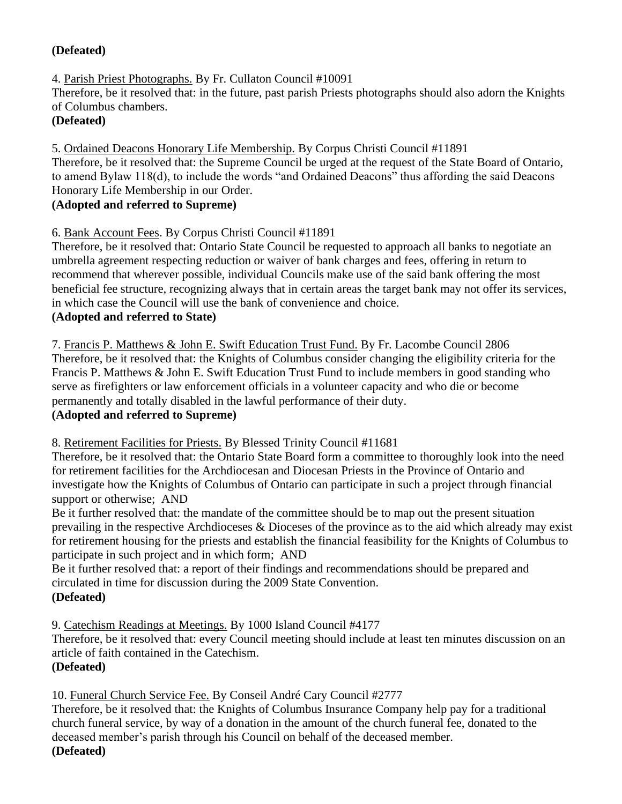## **(Defeated)**

4. Parish Priest Photographs. By Fr. Cullaton Council #10091

Therefore, be it resolved that: in the future, past parish Priests photographs should also adorn the Knights of Columbus chambers.

## **(Defeated)**

5. Ordained Deacons Honorary Life Membership. By Corpus Christi Council #11891 Therefore, be it resolved that: the Supreme Council be urged at the request of the State Board of Ontario, to amend Bylaw 118(d), to include the words "and Ordained Deacons" thus affording the said Deacons Honorary Life Membership in our Order.

## **(Adopted and referred to Supreme)**

6. Bank Account Fees. By Corpus Christi Council #11891

Therefore, be it resolved that: Ontario State Council be requested to approach all banks to negotiate an umbrella agreement respecting reduction or waiver of bank charges and fees, offering in return to recommend that wherever possible, individual Councils make use of the said bank offering the most beneficial fee structure, recognizing always that in certain areas the target bank may not offer its services, in which case the Council will use the bank of convenience and choice.

#### **(Adopted and referred to State)**

7. Francis P. Matthews & John E. Swift Education Trust Fund. By Fr. Lacombe Council 2806 Therefore, be it resolved that: the Knights of Columbus consider changing the eligibility criteria for the Francis P. Matthews & John E. Swift Education Trust Fund to include members in good standing who serve as firefighters or law enforcement officials in a volunteer capacity and who die or become permanently and totally disabled in the lawful performance of their duty.

## **(Adopted and referred to Supreme)**

8. Retirement Facilities for Priests. By Blessed Trinity Council #11681

Therefore, be it resolved that: the Ontario State Board form a committee to thoroughly look into the need for retirement facilities for the Archdiocesan and Diocesan Priests in the Province of Ontario and investigate how the Knights of Columbus of Ontario can participate in such a project through financial support or otherwise; AND

Be it further resolved that: the mandate of the committee should be to map out the present situation prevailing in the respective Archdioceses  $\&$  Dioceses of the province as to the aid which already may exist for retirement housing for the priests and establish the financial feasibility for the Knights of Columbus to participate in such project and in which form; AND

Be it further resolved that: a report of their findings and recommendations should be prepared and circulated in time for discussion during the 2009 State Convention.

## **(Defeated)**

9. Catechism Readings at Meetings. By 1000 Island Council #4177

Therefore, be it resolved that: every Council meeting should include at least ten minutes discussion on an article of faith contained in the Catechism.

## **(Defeated)**

10. Funeral Church Service Fee. By Conseil André Cary Council #2777

Therefore, be it resolved that: the Knights of Columbus Insurance Company help pay for a traditional church funeral service, by way of a donation in the amount of the church funeral fee, donated to the deceased member's parish through his Council on behalf of the deceased member.

## **(Defeated)**